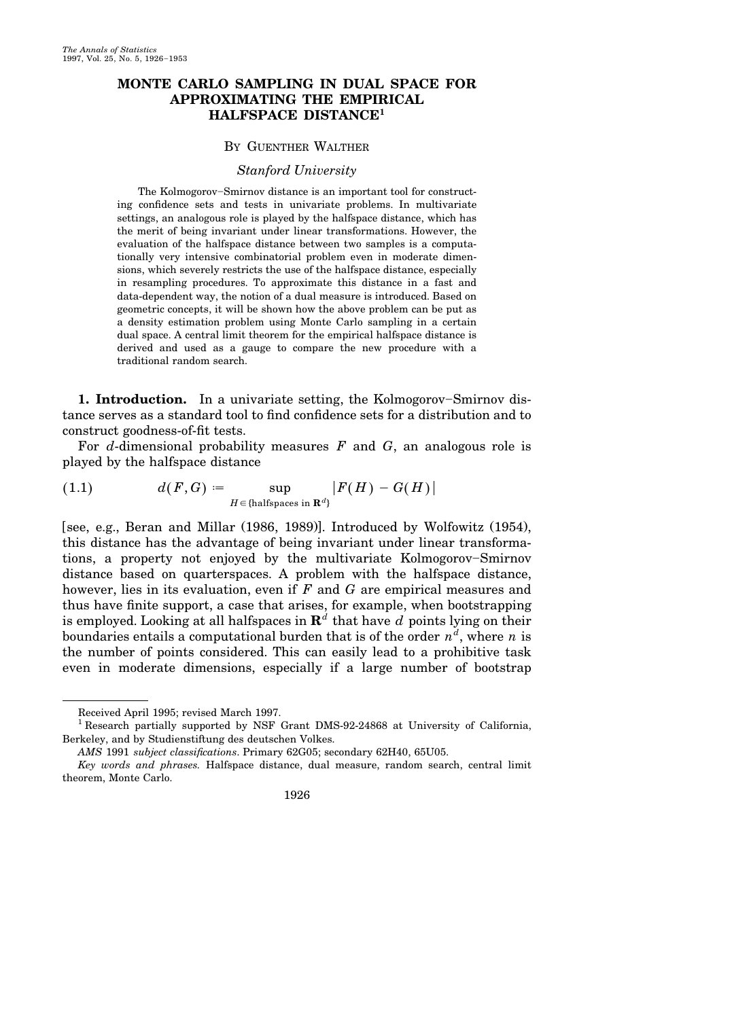## **MONTE CARLO SAMPLING IN DUAL SPACE FOR APPROXIMATING THE EMPIRICAL HALFSPACE DISTANCE<sup>1</sup>**

## BY GUENTHER WALTHER

#### *Stanford University*

The Kolmogorov–Smirnov distance is an important tool for constructing confidence sets and tests in univariate problems. In multivariate settings, an analogous role is played by the halfspace distance, which has the merit of being invariant under linear transformations. However, the evaluation of the halfspace distance between two samples is a computationally very intensive combinatorial problem even in moderate dimensions, which severely restricts the use of the halfspace distance, especially in resampling procedures. To approximate this distance in a fast and data-dependent way, the notion of a dual measure is introduced. Based on geometric concepts, it will be shown how the above problem can be put as a density estimation problem using Monte Carlo sampling in a certain dual space. A central limit theorem for the empirical halfspace distance is derived and used as a gauge to compare the new procedure with a traditional random search.

**1. Introduction.** In a univariate setting, the Kolmogorov–Smirnov distance serves as a standard tool to find confidence sets for a distribution and to construct goodness-of-fit tests.

For *d*-dimensional probability measures *F* and *G*, an analogous role is played by the halfspace distance

(1.1) 
$$
d(F,G) := \sup_{H \in \{\text{halfspaces in } \mathbf{R}^d\}} |F(H) - G(H)|
$$

[see, e.g., Beran and Millar  $(1986, 1989)$ ]. Introduced by Wolfowitz  $(1954)$ , this distance has the advantage of being invariant under linear transformations, a property not enjoyed by the multivariate Kolmogorov–Smirnov distance based on quarterspaces. A problem with the halfspace distance, however, lies in its evaluation, even if *F* and *G* are empirical measures and thus have finite support, a case that arises, for example, when bootstrapping is employed. Looking at all halfspaces in  $\mathbf{R}^d$  that have  $d$  points lying on their boundaries entails a computational burden that is of the order  $n^d$ , where  $n$  is the number of points considered. This can easily lead to a prohibitive task even in moderate dimensions, especially if a large number of bootstrap

*Key words and phrases.* Halfspace distance, dual measure, random search, central limit theorem, Monte Carlo.



Received April 1995; revised March 1997.

<sup>&</sup>lt;sup>1</sup> Research partially supported by NSF Grant DMS-92-24868 at University of California, Berkeley, and by Studienstiftung des deutschen Volkes.

*AMS* 1991 *subject classifications*. Primary 62G05; secondary 62H40, 65U05.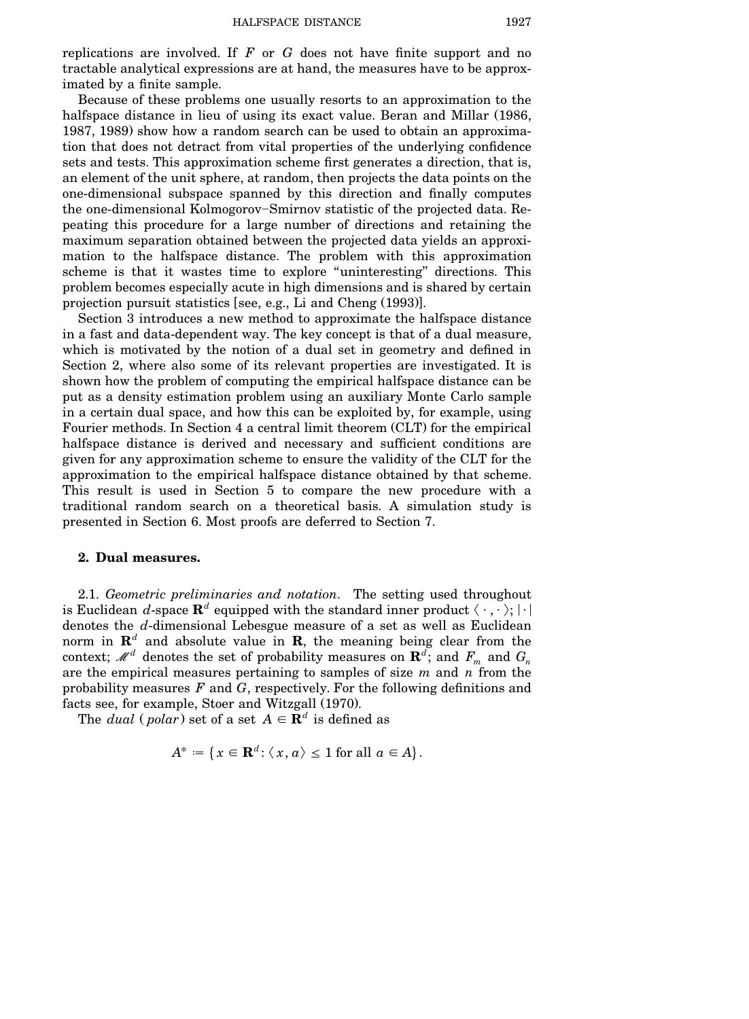replications are involved. If *F* or *G* does not have finite support and no tractable analytical expressions are at hand, the measures have to be approximated by a finite sample.

Because of these problems one usually resorts to an approximation to the halfspace distance in lieu of using its exact value. Beran and Millar (1986, 1987, 1989) show how a random search can be used to obtain an approximation that does not detract from vital properties of the underlying confidence sets and tests. This approximation scheme first generates a direction, that is, an element of the unit sphere, at random, then projects the data points on the one-dimensional subspace spanned by this direction and finally computes the one-dimensional Kolmogorov–Smirnov statistic of the projected data. Repeating this procedure for a large number of directions and retaining the maximum separation obtained between the projected data yields an approximation to the halfspace distance. The problem with this approximation scheme is that it wastes time to explore ''uninteresting'' directions. This problem becomes especially acute in high dimensions and is shared by certain projection pursuit statistics [see, e.g., Li and Cheng  $(1993)$ ].

Section 3 introduces a new method to approximate the halfspace distance in a fast and data-dependent way. The key concept is that of a dual measure, which is motivated by the notion of a dual set in geometry and defined in Section 2, where also some of its relevant properties are investigated. It is shown how the problem of computing the empirical halfspace distance can be put as a density estimation problem using an auxiliary Monte Carlo sample in a certain dual space, and how this can be exploited by, for example, using Fourier methods. In Section 4 a central limit theorem (CLT) for the empirical halfspace distance is derived and necessary and sufficient conditions are given for any approximation scheme to ensure the validity of the CLT for the approximation to the empirical halfspace distance obtained by that scheme. This result is used in Section 5 to compare the new procedure with a traditional random search on a theoretical basis. A simulation study is presented in Section 6. Most proofs are deferred to Section 7.

## **2. Dual measures.**

2.1. *Geometric preliminaries and notation*. The setting used throughout is Euclidean *d*-space  $\mathbf{R}^{d}$  equipped with the standard inner product  $\langle\;\cdot\;,\cdot\;\rangle;|\cdot|$ denotes the *d*-dimensional Lebesgue measure of a set as well as Euclidean norm in  $\mathbb{R}^d$  and absolute value in  $\mathbb{R}$ , the meaning being clear from the context;  $\mathscr{M}^d$  denotes the set of probability measures on  $\mathbf{R}^d$ ; and  $F_m$  and  $G_n$ are the empirical measures pertaining to samples of size *m* and *n* from the probability measures *F* and *G*, respectively. For the following definitions and facts see, for example, Stoer and Witzgall (1970).

The *dual* (*polar*) set of a set  $A \in \mathbf{R}^d$  is defined as

$$
A^* := \{ x \in \mathbf{R}^d : \langle x, a \rangle \le 1 \text{ for all } a \in A \}.
$$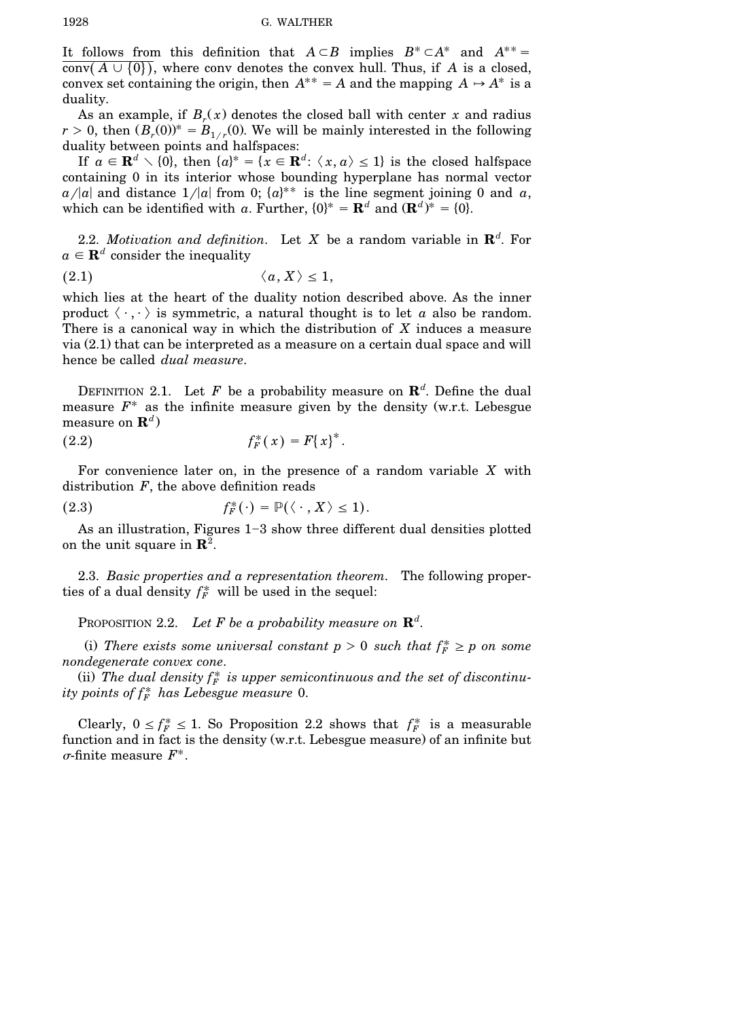It follows from this definition that  $A \subset B$  implies  $B^* \subset A^*$  and  $A^{**} =$ conv $(A \cup \{0\})$ , where conv denotes the convex hull. Thus, if *A* is a closed, convex set containing the origin, then  $A^{**} = A$  and the mapping  $A \rightarrow A^*$  is a duality.

As an example, if  $B_r(x)$  denotes the closed ball with center x and radius  $r > 0$ , then  $(B_r(0))^* = B_{1/r}(0)$ . We will be mainly interested in the following duality between points and halfspaces:

If  $a \in \mathbf{R}^d \setminus \{0\}$ , then  $\{a\}^* = \{x \in \mathbf{R}^d: \langle x, a \rangle \le 1\}$  is the closed halfspace containing 0 in its interior whose bounding hyperplane has normal vector  $a/|a|$  and distance  $1/|a|$  from 0;  $\{a\}^{**}$  is the line segment joining 0 and *a*, which can be identified with *a*. Further,  $\{0\}^* = \mathbf{R}^d$  and  $(\mathbf{R}^d)^* = \{0\}$ .

2.2. *Motivation and definition*. Let *X* be a random variable in  $\mathbb{R}^d$ . For  $a \in \mathbf{R}^d$  consider the inequality

$$
(2.1) \t\t \langle a, X \rangle \leq 1,
$$

which lies at the heart of the duality notion described above. As the inner product  $\langle \cdot, \cdot \rangle$  is symmetric, a natural thought is to let *a* also be random. There is a canonical way in which the distribution of *X* induces a measure via  $(2.1)$  that can be interpreted as a measure on a certain dual space and will hence be called *dual measure*.

DEFINITION 2.1. Let F be a probability measure on  $\mathbb{R}^d$ . Define the dual measure  $F^*$  as the infinite measure given by the density (w.r.t. Lebesgue measure on  $\mathbf{R}^d$ )

(2.2) 
$$
f_F^*(x) = F(x)^*.
$$

For convenience later on, in the presence of a random variable *X* with distribution *F*, the above definition reads

(2.3) 
$$
f_F^*(\cdot) = \mathbb{P}(\langle \cdot, X \rangle \leq 1).
$$

As an illustration, Figures  $1-3$  show three different dual densities plotted on the unit square in **R**<sup>2</sup> .

2.3. *Basic properties and a representation theorem*. The following properties of a dual density  $f_F^*$  will be used in the sequel:

PROPOSITION 2.2. Let  $F$  be a probability measure on  $\mathbb{R}^d$ .

(i) There exists some universal constant  $p > 0$  such that  $f_F^* \geq p$  on some *nondegenerate convex cone*.

(ii) The dual density  $f_F^*$  is upper semicontinuous and the set of discontinu $i$ *ty*  $points$  *of*  $f_F^*$  *has Lebesgue measure* 0.

Clearly,  $0 \le f_F^* \le 1$ . So Proposition 2.2 shows that  $f_F^*$  is a measurable function and in fact is the density  $(w.r.t.$  Lebesgue measure) of an infinite but  $\sigma$ -finite measure  $F^*$ .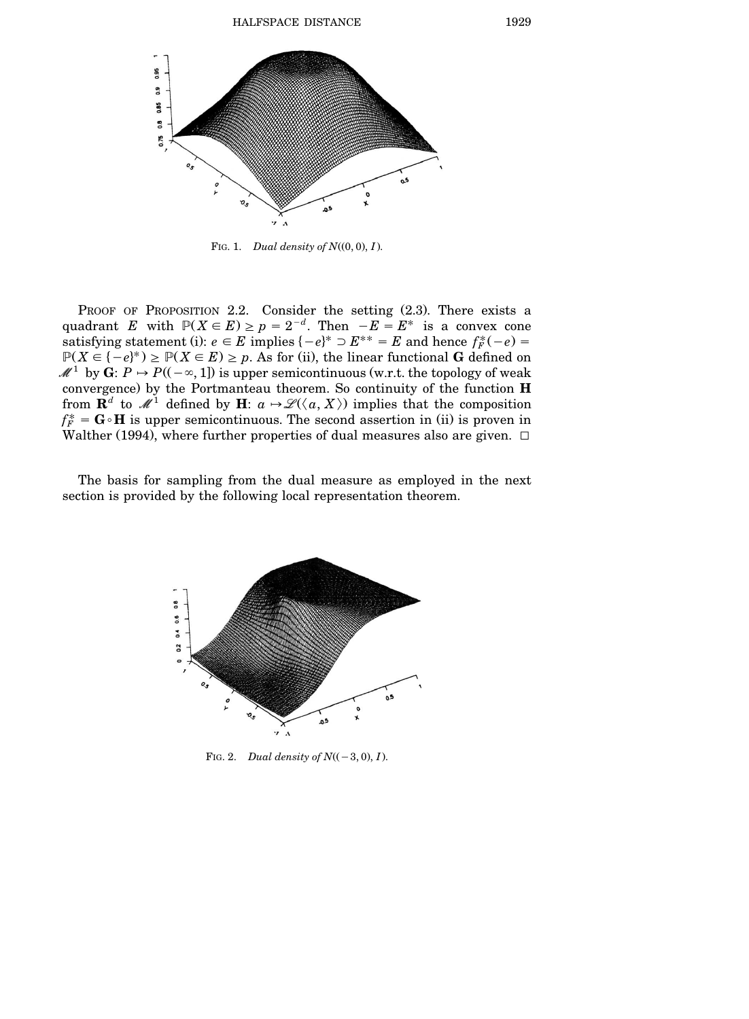

FIG. 1. *Dual density of*  $N((0, 0), I)$ .

PROOF OF PROPOSITION  $2.2$ . Consider the setting  $(2.3)$ . There exists a quadrant *E* with  $P(X \in E) \ge p = 2^{-d}$ . Then  $-E = E^*$  is a convex cone satisfying statement (i):  $e \in E$  implies  $\{-e\}^* \supset E^{**} = E$  and hence  $f_F^*(-e) =$  $P(X \in \{-e\}^*) \ge P(X \in E) \ge p$ . As for (ii), the linear functional **G** defined on  $\mathcal{M}^1$  by **G**:  $P \rightarrow P((-\infty, 1])$  is upper semicontinuous (w.r.t. the topology of weak convergence. by the Portmanteau theorem. So continuity of the function **H** from  $\mathbf{R}^d$  to  $\mathscr{M}^1$  defined by  $\mathbf{H}$ :  $a \mapsto \mathscr{L}(\langle a, X \rangle)$  implies that the composition  $f_F^* = \mathbf{G} \cdot \mathbf{H}$  is upper semicontinuous. The second assertion in (ii) is proven in Walther (1994), where further properties of dual measures also are given.  $\Box$ 

The basis for sampling from the dual measure as employed in the next section is provided by the following local representation theorem.



FIG. 2. *Dual density of*  $N((-3, 0), I)$ .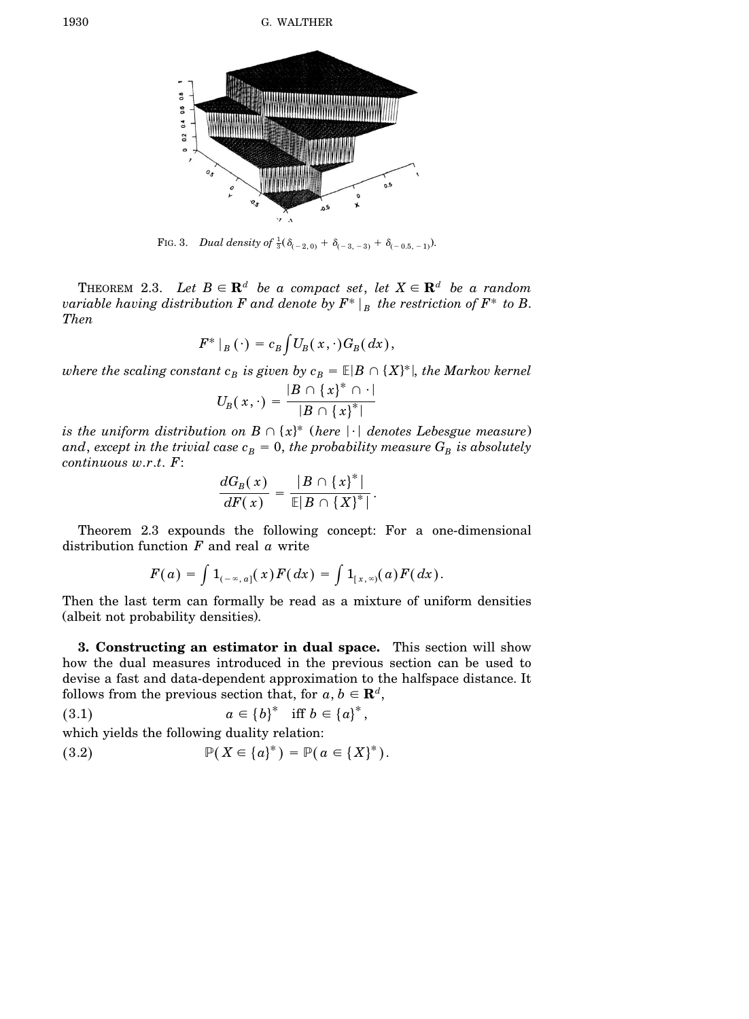

FIG. 3. *Dual density* of  $\frac{1}{3}(\delta_{(-2,0)} + \delta_{(-3,-3)} + \delta_{(-0.5,-1)}).$ 

THEOREM 2.3. Let  $B \in \mathbf{R}^d$  be a compact set, let  $X \in \mathbf{R}^d$  be a random *variable having distribution*  $F$  *and denote by*  $F^* \mid_B$  *the restriction of*  $F^*$  *to*  $B$ . *Then*

$$
F^*|_B(\cdot) = c_B \int U_B(x,\cdot) G_B(dx),
$$

where the scaling constant  $c_B$  is given by  $c_B = \mathbb{E}|B \cap \{X\}^*|$ , the Markov kernel

$$
U_B(\,x,\cdot\,)=\frac{|B\,\cap\,\left\{\,x\right\}^*\,\cap\,\cdot\,|}{|B\,\cap\,\left\{\,x\right\}^*|}
$$

 $i$ *s the uniform distribution on B*  $\cap$  { $x$ } $*$  (*here*  $|\cdot|$  *denotes Lebesgue measure*)  $and, \,except \,in \,the \, trivial \,case \,c_{B} = 0, \,the \,probability \, measure \,G_{B} \,is \,absolutely$ *continuous w*.*r*.*t*. *F*:

$$
\frac{dG_B(x)}{dF(x)} = \frac{|B \cap \{x\}^*|}{\mathbb{E}|B \cap \{X\}^*|}.
$$

Theorem 2.3 expounds the following concept: For a one-dimensional distribution function *F* and real *a* write

$$
F(a) = \int 1_{(-\infty, a]}(x) F(dx) = \int 1_{[x, \infty]}(a) F(dx).
$$

Then the last term can formally be read as a mixture of uniform densities (albeit not probability densities).

**3. Constructing an estimator in dual space.** This section will show how the dual measures introduced in the previous section can be used to devise a fast and data-dependent approximation to the halfspace distance. It follows from the previous section that, for  $a, b \in \mathbf{R}^d$ ,

$$
(3.1) \t\t a \in \{b\}^* \quad \text{iff } b \in \{a\}^*,
$$

which yields the following duality relation:

(3.2) 
$$
\mathbb{P}(X \in \{a\}^*) = \mathbb{P}(a \in \{X\}^*).
$$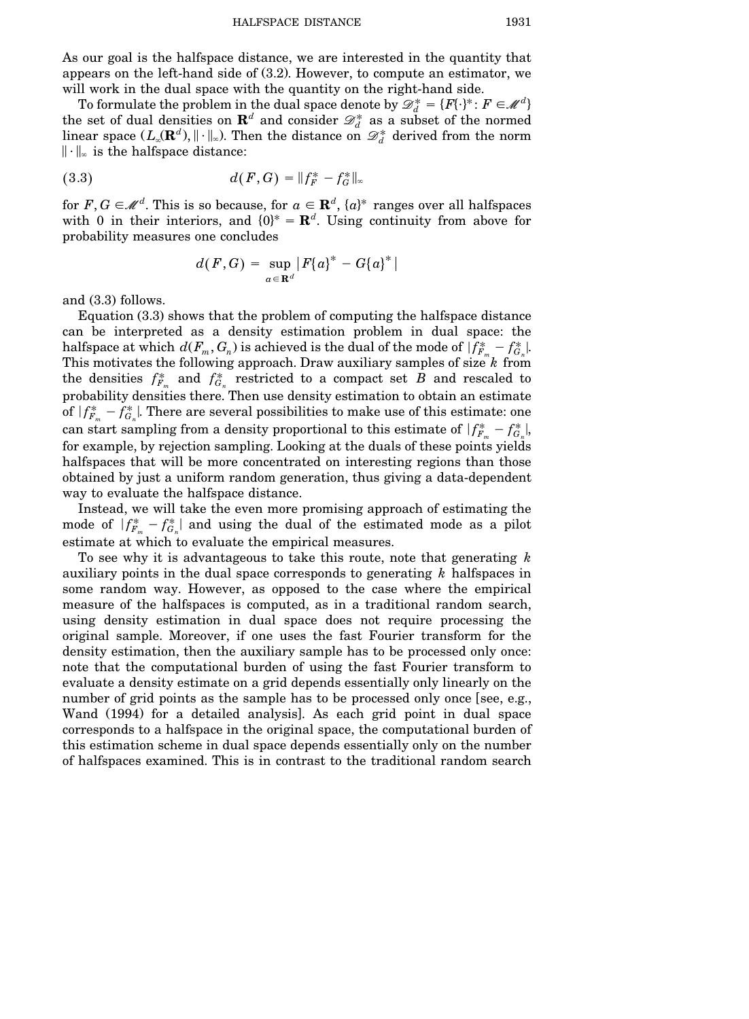As our goal is the halfspace distance, we are interested in the quantity that appears on the left-hand side of  $(3.2)$ . However, to compute an estimator, we will work in the dual space with the quantity on the right-hand side.

To formulate the problem in the dual space denote by  $\mathscr{D}^*_d = \{F\{\cdot\}^* \colon F \in \mathscr{M}^d\}$ the set of dual densities on  $\mathbf{R}^d$  and consider  $\mathscr{D}_d^*$  as a subset of the normed linear space  $(L_{\infty}(\mathbf{R}^d), \|\cdot\|_{\infty})$ . Then the distance on  $\mathscr{D}^*_{d}$  derived from the norm  $\|\cdot\|_{\infty}$  is the halfspace distance:

(3.3) 
$$
d(F,G) = ||f_F^* - f_G^*||_{\infty}
$$

for  $F, G \in \mathcal{M}^d$ . This is so because, for  $a \in \mathbf{R}^d$ ,  $\{a\}^*$  ranges over all halfspaces with 0 in their interiors, and  $\{0\}^* = \mathbb{R}^d$ . Using continuity from above for probability measures one concludes

$$
d(F,G) = \sup_{a \in \mathbf{R}^d} |F(a)^* - G(a)^*|
$$

and  $(3.3)$  follows.

Equation  $(3.3)$  shows that the problem of computing the halfspace distance can be interpreted as a density estimation problem in dual space: the halfspace at which  $d(F_m, G_n)$  is achieved is the dual of the mode of  $|f_{F_m}^* - f_{G_n}^*|$ . This motivates the following approach. Draw auxiliary samples of size *k* from the densities  $f_{F_m}^*$  and  $f_{G_n}^*$  restricted to a compact set *B* and rescaled to probability densities there. Then use density estimation to obtain an estimate  $\overline{\phantom{a}}$ of  $|f_{F_m}^* - f_{G_n}^*|$ . There are several possibilities to make use of this estimate: one  $\overline{\phantom{a}}$ can start sampling from a density proportional to this estimate of  $|f_{F_m}^* - f_{G_n}^*|$ , for example, by rejection sampling. Looking at the duals of these points yields halfspaces that will be more concentrated on interesting regions than those obtained by just a uniform random generation, thus giving a data-dependent way to evaluate the halfspace distance.

Instead, we will take the even more promising approach of estimating the  $\overline{\phantom{a}}$ mode of  $|f_{F_m}^* - f_{G_n}^*|$  and using the dual of the estimated mode as a pilot estimate at which to evaluate the empirical measures.

To see why it is advantageous to take this route, note that generating *k* auxiliary points in the dual space corresponds to generating *k* halfspaces in some random way. However, as opposed to the case where the empirical measure of the halfspaces is computed, as in a traditional random search, using density estimation in dual space does not require processing the original sample. Moreover, if one uses the fast Fourier transform for the density estimation, then the auxiliary sample has to be processed only once: note that the computational burden of using the fast Fourier transform to evaluate a density estimate on a grid depends essentially only linearly on the number of grid points as the sample has to be processed only once [see, e.g., Wand (1994) for a detailed analysis. As each grid point in dual space corresponds to a halfspace in the original space, the computational burden of this estimation scheme in dual space depends essentially only on the number of halfspaces examined. This is in contrast to the traditional random search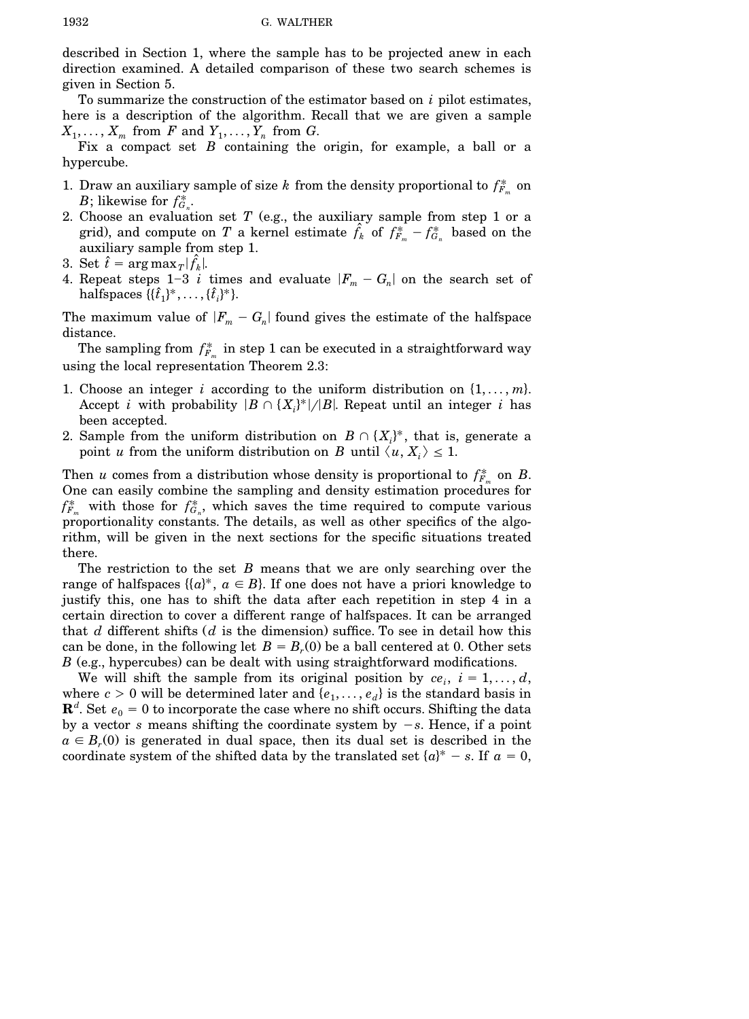described in Section 1, where the sample has to be projected anew in each direction examined. A detailed comparison of these two search schemes is given in Section 5.

To summarize the construction of the estimator based on *i* pilot estimates, here is a description of the algorithm. Recall that we are given a sample  $X_1, \ldots, X_m$  from *F* and  $Y_1, \ldots, Y_n$  from *G*.

Fix a compact set *B* containing the origin, for example, a ball or a hypercube.

- 1. Draw an auxiliary sample of size  $k$  from the density proportional to  $f_{F_m}^*$  on *B*; likewise for  $f_{G_n}^*$ .
- 2. Choose an evaluation set *T* (e.g., the auxiliary sample from step 1 or a grid), and compute on *T* a kernel estimate  $\hat{f}_k$  of  $f_{F_m}^* - f_{G_n}^*$  based on the auxiliary sample from step 1.
- 3. Set  $\hat{t} = \arg \max_{T} |\hat{f}_k|$ .
- 4. Repeat steps 1-3 *i* times and evaluate  $|F_m G_n|$  on the search set of  ${\rm halfspaces }\ \{ \{ \hat{t}_1 \}^*, \ldots, \{ \hat{t}_i \}^* \}.$

The maximum value of  $|F_m - G_n|$  found gives the estimate of the halfspace distance.

The sampling from  $f_{F_m}^*$  in step 1 can be executed in a straightforward way using the local representation Theorem 2.3:

- 1. Choose an integer *i* according to the uniform distribution on  $\{1, \ldots, m\}$ . Accept *i* with probability  $|B \cap \{X_i\}^*|/|B|$ . Repeat until an integer *i* has been accepted.
- 2. Sample from the uniform distribution on  $B \cap \{X_i\}^*$ , that is, generate a point *u* from the uniform distribution on *B* until  $\langle u, X_i \rangle \leq 1$ .

Then *u* comes from a distribution whose density is proportional to  $f_{F_m}^*$  on *B*. One can easily combine the sampling and density estimation procedures for  $f_{F_m}^*$  with those for  $f_{G_n}^*$ , which saves the time required to compute various proportionality constants. The details, as well as other specifics of the algorithm, will be given in the next sections for the specific situations treated there.

The restriction to the set *B* means that we are only searching over the range of halfspaces  $\{(a)^*, a \in B\}$ . If one does not have a priori knowledge to justify this, one has to shift the data after each repetition in step 4 in a certain direction to cover a different range of halfspaces. It can be arranged that  $d$  different shifts  $(d$  is the dimension) suffice. To see in detail how this can be done, in the following let  $B = B<sub>r</sub>(0)$  be a ball centered at 0. Other sets *B* (e.g., hypercubes) can be dealt with using straightforward modifications.

We will shift the sample from its original position by  $ce_i$ ,  $i = 1, ..., d$ , where  $c > 0$  will be determined later and  $\{e_1, \ldots, e_d\}$  is the standard basis in  $\mathbf{R}^{d}$ . Set  $e_{0}=0$  to incorporate the case where no shift occurs. Shifting the data by a vector *s* means shifting the coordinate system by  $-s$ . Hence, if a point  $a \in B_r(0)$  is generated in dual space, then its dual set is described in the coordinate system of the shifted data by the translated set  $\{a\}^* - s$ . If  $a = 0$ ,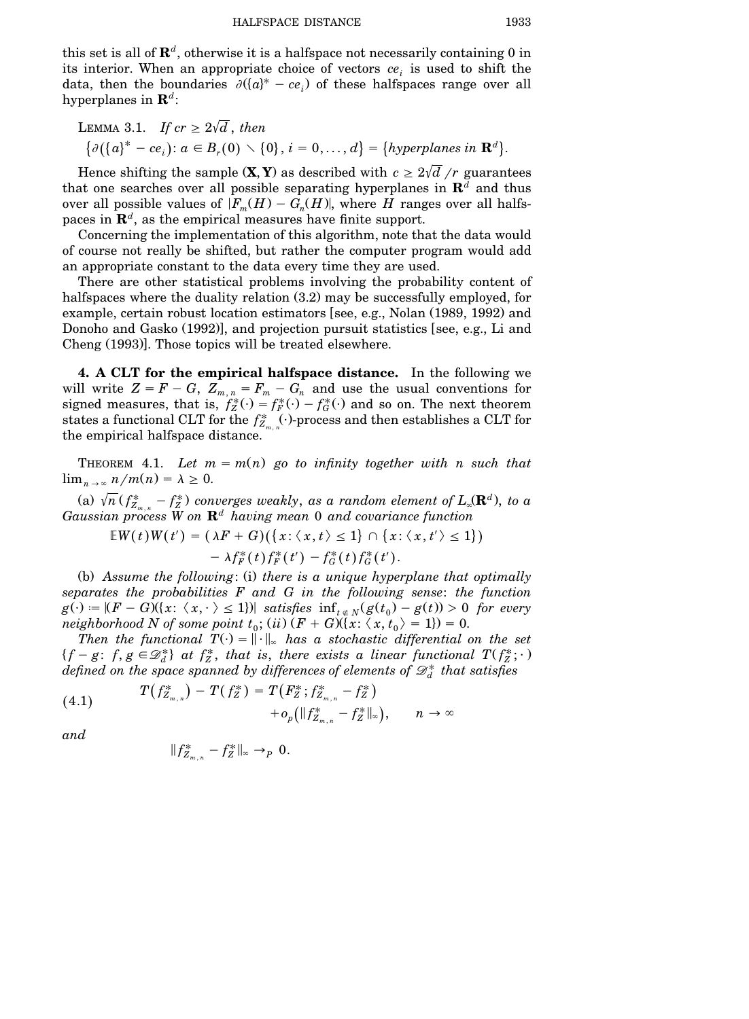this set is all of  $\mathbf{R}^d$ , otherwise it is a halfspace not necessarily containing 0 in its interior. When an appropriate choice of vectors *ce<sup>i</sup>* is used to shift the data, then the boundaries  $\partial ((a)^* - ce_i)$  of these halfspaces range over all hyperplanes in **R***<sup>d</sup>* :

LEMMA 3.1. If 
$$
cr \geq 2\sqrt{d}
$$
, then  
\n
$$
\{\partial(\{a\}^* - ce_i): a \in B_r(0) \setminus \{0\}, i = 0, ..., d\} = \{hyperplanes in \mathbb{R}^d\}.
$$

Hence shifting the sample  $(\mathbf{X}, \mathbf{Y})$  as described with  $c \geq 2\sqrt{d}/r$  guarantees that one searches over all possible separating hyperplanes in  $\mathbb{R}^d$  and thus over all possible values of  $|F_m(H) - G_n(H)|$ , where *H* ranges over all halfspaces in **R***<sup>d</sup>* , as the empirical measures have finite support.

Concerning the implementation of this algorithm, note that the data would of course not really be shifted, but rather the computer program would add an appropriate constant to the data every time they are used.

There are other statistical problems involving the probability content of halfspaces where the duality relation  $(3.2)$  may be successfully employed, for example, certain robust location estimators [see, e.g., Nolan  $(1989, 1992)$  and Donoho and Gasko  $(1992)$ , and projection pursuit statistics (see, e.g., Li and Cheng  $(1993)$ . Those topics will be treated elsewhere.

**4. A CLT for the empirical halfspace distance.** In the following we will write  $Z = F - G$ ,  $Z_{m,n} = F_m - G_n$  and use the usual conventions for signed measures, that is,  $f_Z^*(\cdot) = f_F^*(\cdot) - f_G^*(\cdot)$  and so on. The next theorem states a functional CLT for the  $f_{Z_{m,n}}^*$ .  $\ldots$  process and then establishes a CLT for the empirical halfspace distance.

THEOREM 4.1. Let  $m = m(n)$  go to *infinity* together with *n* such that  $\lim_{n \to \infty} \frac{n}{m(n)} = \lambda \geq 0.$ 

(a)  $\sqrt{n}$  ( $f_{Z_{m,n}}^*$  –  $f_Z^*$ ) converges weakly, as a random element of  $L_\infty(\mathbf{R}^d)$ , to a *Gaussian process W on* **R***<sup>d</sup> having mean* 0 *and covariance function*

$$
\mathbb{E}W(t)W(t') = (\lambda F + G)(\{x: \langle x, t \rangle \le 1\} \cap \{x: \langle x, t' \rangle \le 1\})
$$
  
-  $\lambda f_F^*(t) f_F^*(t') - f_G^*(t) f_G^*(t').$ 

(b) Assume the following: (i) there is a unique hyperplane that optimally *separates the probabilities F and G in the following sense*: *the function*  $g(\cdot) := |(F - G)(\{x: \langle x, \cdot \rangle \leq 1\})|$  *satisfies*  $\inf_{t \in N} (g(t_0) - g(t)) > 0$  *for every neighborhood N of some point*  $t_0$ ;  $(ii)$   $(F + G)(\{x: \langle x, t_0 \rangle = 1\}) = 0$ .

*Then the functional*  $T(\cdot) = ||\cdot||_{\infty}$  *has a stochastic differential on the set*  $\{f - g: f, g \in \mathcal{D}_d^*\}\$ at  $f_Z^*$ , that is, there exists a linear functional  $T(f_Z^*; \cdot)$  $d$  *defined on the space spanned by differences of elements of*  $\mathscr{D}^*_d$  *that satisfies* 

(4.1) 
$$
T(f_{Z_{m,n}}^*) - T(f_Z^*) = T(F_Z^*; f_{Z_{m,n}}^* - f_Z^*) + o_p(\|f_{Z_{m,n}}^* - f_Z^*\|_{\infty}), \quad n \to \infty
$$

*and*

$$
||f^*_{Z_{m,n}} - f^*_{Z}||_{\infty} \to_p 0.
$$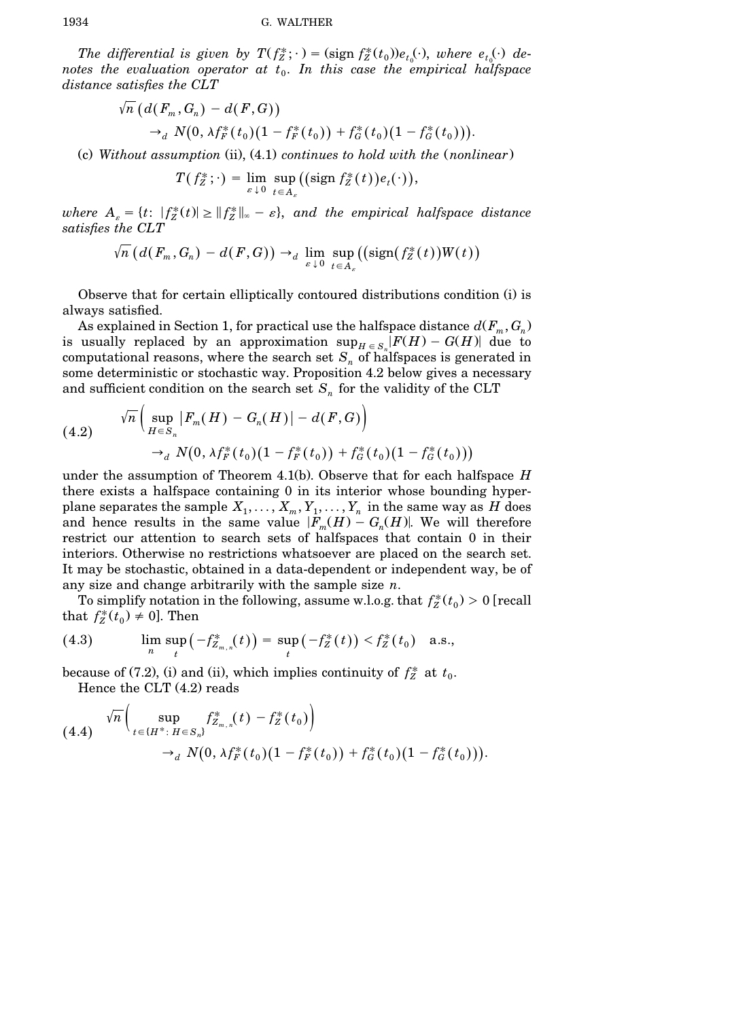The differential is given by  $T(f_Z^*; \cdot) = (\text{sign } f_Z^*(t_0))e_{t_0}(\cdot)$ , where  $e_{t_0}(\cdot)$  de*notes* the evaluation operator at  $t_0$ . In this case the empirical halfspace *distance satisfies the CLT*

$$
\sqrt{n} \left( d(F_m, G_n) - d(F, G) \right) \n\rightarrow_d N(0, \lambda f_F^*(t_0) (1 - f_F^*(t_0)) + f_G^*(t_0) (1 - f_G^*(t_0))).
$$

Žc. *Without assumption* Žii., Ž4.1. *continues to hold with the* Ž*nonlinear*.

 $T(f_Z^*; \cdot) = \lim_{\varepsilon \downarrow 0} \sup_{t \in A_{\varepsilon}} ((\text{sign } f_Z^*(t)) e_t(\cdot)),$ 

 $where$   $A_{\varepsilon} = \{t: |f_Z^*(t)| \geq ||f_Z^*||_{\infty} - \varepsilon\}, and the empirical halfspace distance$ *satisfies the CLT*

$$
\sqrt{n}\left(d(F_m,G_n)-d(F,G)\right) \to_d \lim_{\varepsilon \downarrow 0} \sup_{t \in A_\varepsilon} \left((\text{sign}(f_Z^*(t))W(t)\right)
$$

Observe that for certain elliptically contoured distributions condition (i) is always satisfied.

As explained in Section 1, for practical use the halfspace distance  $d(F_m, G_n)$ is usually replaced by an approximation  $\sup_{H \in S_n} |F(H) - G(H)|$  due to computational reasons, where the search set  $S_n$  of halfspaces is generated in some deterministic or stochastic way. Proposition 4.2 below gives a necessary and sufficient condition on the search set  $S_n$  for the validity of the CLT

(4.2) 
$$
\sqrt{n}\Big(\sup_{H\in S_n}|F_m(H) - G_n(H)| - d(F, G)\Big) \n\rightarrow_d N(0, \lambda f_F^*(t_0)(1 - f_F^*(t_0)) + f_G^*(t_0)(1 - f_G^*(t_0)))
$$

under the assumption of Theorem 4.1(b). Observe that for each halfspace  $H$ there exists a halfspace containing 0 in its interior whose bounding hyperplane separates the sample  $X_1, \ldots, X_m, Y_1, \ldots, Y_n$  in the same way as  $H$  does and hence results in the same value  $|F_m(H) - G_n(H)|$ . We will therefore restrict our attention to search sets of halfspaces that contain 0 in their interiors. Otherwise no restrictions whatsoever are placed on the search set. It may be stochastic, obtained in a data-dependent or independent way, be of any size and change arbitrarily with the sample size *n*.

To simplify notation in the following, assume w.l.o.g. that  $f_Z^*(t_0) > 0$  [recall that  $f_Z^*(t_0) \neq 0$ . Then

(4.3) 
$$
\lim_{n} \sup_{t} \left( -f_{Z_{m,n}}^*(t) \right) = \sup_{t} \left( -f_Z^*(t) \right) < f_Z^*(t_0) \quad \text{a.s.,}
$$

because of (7.2), (i) and (ii), which implies continuity of  $f_Z^*$  at  $t_0$ . Hence the CLT  $(4.2)$  reads

$$
(4.4) \quad \sqrt{n} \Big( \sup_{t \in \{H^*: H \in S_n\}} f_{Z_{m,n}}^*(t) - f_Z^*(t_0) \Big) \\ \rightarrow_d N(0, \lambda f_F^*(t_0) (1 - f_F^*(t_0)) + f_G^*(t_0) (1 - f_G^*(t_0))).
$$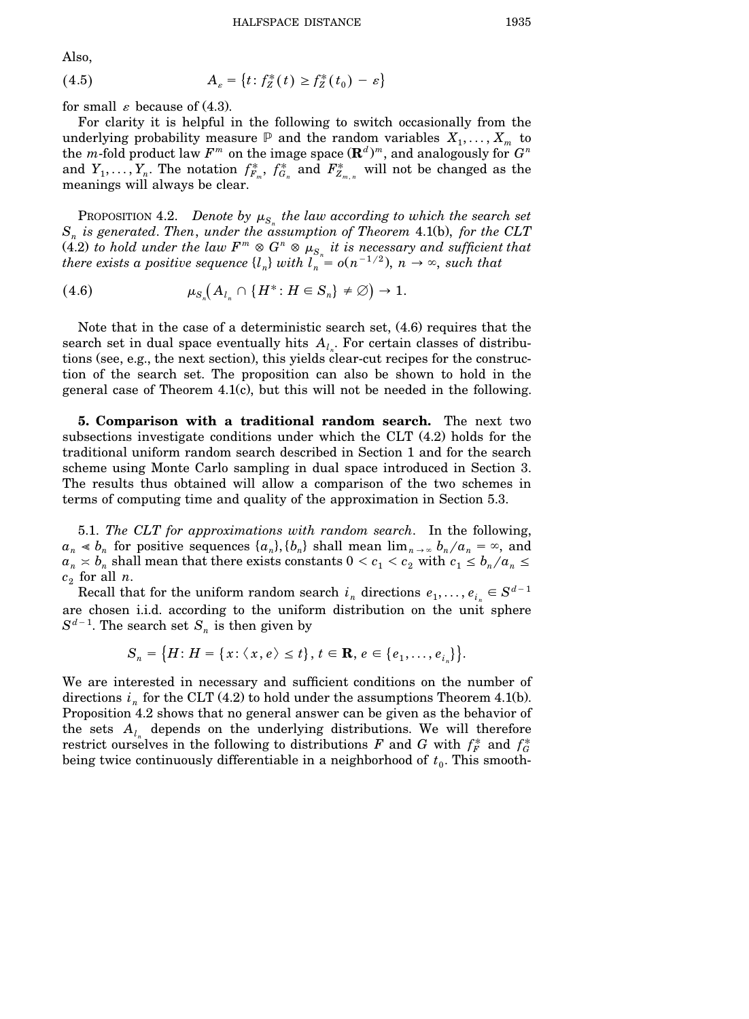Also,

(4.5) 
$$
A_{\varepsilon} = \{t : f_Z^*(t) \ge f_Z^*(t_0) - \varepsilon\}
$$

for small  $\varepsilon$  because of (4.3).

For clarity it is helpful in the following to switch occasionally from the underlying probability measure  $P$  and the random variables  $X_1, \ldots, X_m$  to the *m*-fold product law  $F^m$  on the image space  $(\mathbf{R}^d)^m$ , and analogously for  $G^n$ and  $Y_1, \ldots, Y_n$ . The notation  $f_{F_m}^*$ ,  $f_{G_n}^*$  and  $F_{Z_{m,n}}^*$  will not be changed as the meanings will always be clear.

PROPOSITION 4.2. *Denote* by  $\mu_{S_n}$  *the law according to which the search set*  $S_n$  *is generated. Then, under the assumption of Theorem* 4.1(b), *for the CLT*  $(4.2)$  *to hold under the law*  $F^m \otimes G^n \otimes \mu_{S_n}$  *it is necessary and sufficient that there exists a positive sequence*  $\{l_n\}$  *with*  $l_n = o(n^{-1/2})$ ,  $n \to \infty$ , such that

 U Ž4.6. <sup>m</sup> Ž *A* l *H* : *H* g *S* <sup>4</sup> / B. ª 1. *<sup>S</sup><sup>n</sup> l<sup>n</sup> n*

Note that in the case of a deterministic search set,  $(4.6)$  requires that the search set in dual space eventually hits  $A_i$ . For certain classes of distributions (see, e.g., the next section), this yields clear-cut recipes for the construction of the search set. The proposition can also be shown to hold in the general case of Theorem  $4.1(c)$ , but this will not be needed in the following.

**5. Comparison with a traditional random search.** The next two subsections investigate conditions under which the  $CLT$   $(4.2)$  holds for the traditional uniform random search described in Section 1 and for the search scheme using Monte Carlo sampling in dual space introduced in Section 3. The results thus obtained will allow a comparison of the two schemes in terms of computing time and quality of the approximation in Section 5.3.

5.1. *The CLT for approximations with random search*. In the following,  $a_n \le b_n$  for positive sequences  $\{a_n\}, \{b_n\}$  shall mean  $\lim_{n \to \infty} b_n/a_n = \infty$ , and  $a_n \approx b_n$  shall mean that there exists constants  $0 < c_1 < c_2$  with  $c_1 \le b_n/a_n \le 1$  $c_2$  for all  $n$ .

Recall that for the uniform random search  $i_n$  directions  $e_1, \ldots, e_{i_n} \in S^{d-1}$ are chosen i.i.d. according to the uniform distribution on the unit sphere  $S^{d-1}$ . The search set  $S_n$  is then given by

$$
S_n = \big\{H\colon H = \{x\colon \langle x, e \rangle \leq t\}, t \in \mathbf{R}, e \in \{e_1, \ldots, e_{i_n}\}\big\}.
$$

We are interested in necessary and sufficient conditions on the number of directions  $i_n$  for the CLT (4.2) to hold under the assumptions Theorem 4.1(b). Proposition 4.2 shows that no general answer can be given as the behavior of the sets  $A_{l_n}$  depends on the underlying distributions. We will therefore restrict ourselves in the following to distributions *F* and *G* with  $f_F^*$  and  $f_G^*$ being twice continuously differentiable in a neighborhood of  $t<sub>0</sub>$ . This smooth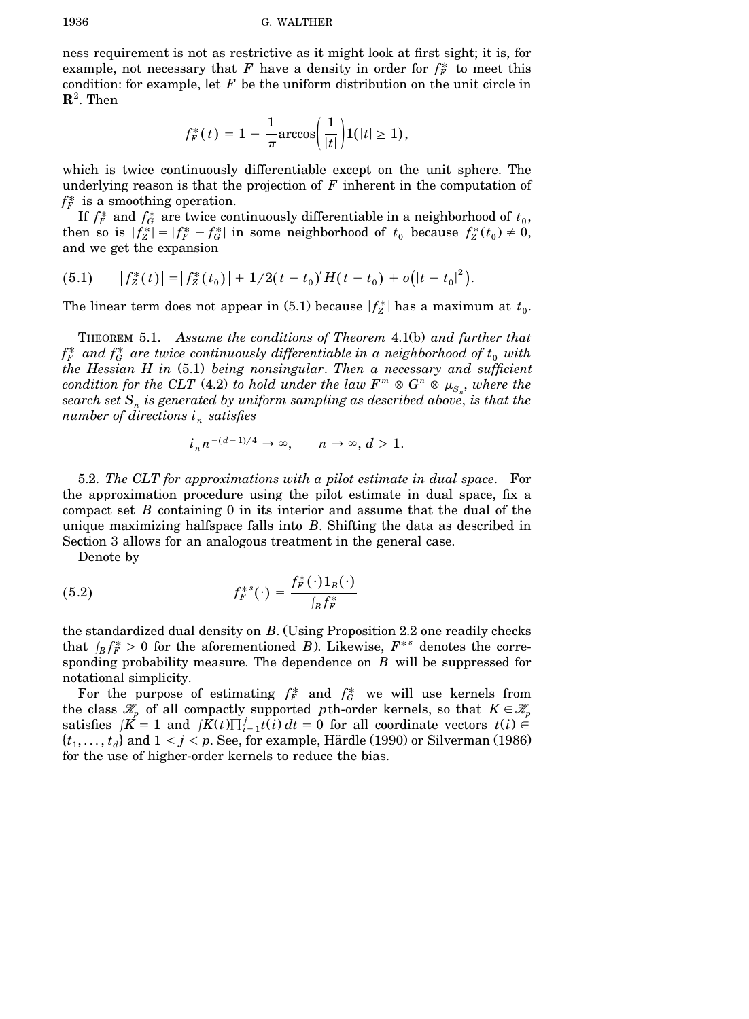ness requirement is not as restrictive as it might look at first sight; it is, for example, not necessary that  $F$  have a density in order for  $f_F^*$  to meet this condition: for example, let  $F$  be the uniform distribution on the unit circle in  $\mathbf{R}^2$ . Then

$$
f_F^*(t) = 1 - \frac{1}{\pi} \arccos\left(\frac{1}{|t|}\right) 1(|t| \ge 1),
$$

which is twice continuously differentiable except on the unit sphere. The underlying reason is that the projection of *F* inherent in the computation of  $f_F^*$  is a smoothing operation.

If  $f_F^*$  and  $f_G^*$  are twice continuously differentiable in a neighborhood of  $t_0$ , I then so is  $|f_Z^*| = |f_F^* - f_G^*|$  in some neighborhood of  $t_0$  because  $f_Z^*(t_0) \neq 0$ , and we get the expansion

(5.1) 
$$
|f_Z^*(t)| = |f_Z^*(t_0)| + 1/2(t - t_0)'H(t - t_0) + o(|t - t_0|^2).
$$

The linear term does not appear in  $(5.1)$  because  $|f_Z^*|$  has a maximum at  $t_0$ .

THEOREM 5.1. *Assume the conditions of Theorem* 4.1Žb. *and further that*  $f_F^*$  and  $f_G^*$  are twice continuously differentiable in a neighborhood of  $t_0$  with *the Hessian H in* Ž5.1. *being nonsingular*. *Then a necessary and sufficient*  $\alpha$  *condition for the CLT* (4.2) *to hold under the law*  $F^m \otimes G^n \otimes \mu_{S_n}$ , where the *search set*  $S_n$  *is generated by uniform sampling as described above, is that the number* of directions  $i_n$  satisfies

$$
i_n n^{-(d-1)/4} \to \infty, \qquad n \to \infty, d > 1.
$$

5.2. *The CLT for approximations with a pilot estimate in dual space*. For the approximation procedure using the pilot estimate in dual space, fix a compact set *B* containing 0 in its interior and assume that the dual of the unique maximizing halfspace falls into *B*. Shifting the data as described in Section 3 allows for an analogous treatment in the general case.

Denote by

(5.2) 
$$
f_F^{*s}(\cdot) = \frac{f_F^*(\cdot)1_B(\cdot)}{\int_B f_F^*}
$$

the standardized dual density on  $B$ . (Using Proposition 2.2 one readily checks that  $\int_B f_F^* > 0$  for the aforementioned *B*). Likewise,  $F^{*s}$  denotes the corresponding probability measure. The dependence on *B* will be suppressed for notational simplicity.

For the purpose of estimating  $f_F^*$  and  $f_G^*$  we will use kernels from the class  $\mathcal{K}_p$  of all compactly supported *p*th-order kernels, so that  $K \in \mathcal{K}_p$ satisfies  $\int K = 1$  and  $\int K(t) \prod_{i=1}^{j} t(i) dt = 0$  for all coordinate vectors  $t(i) \in$  $\{t_1, \ldots, t_d\}$  and  $1 \leq j \leq p$ . See, for example, Härdle (1990) or Silverman (1986) for the use of higher-order kernels to reduce the bias.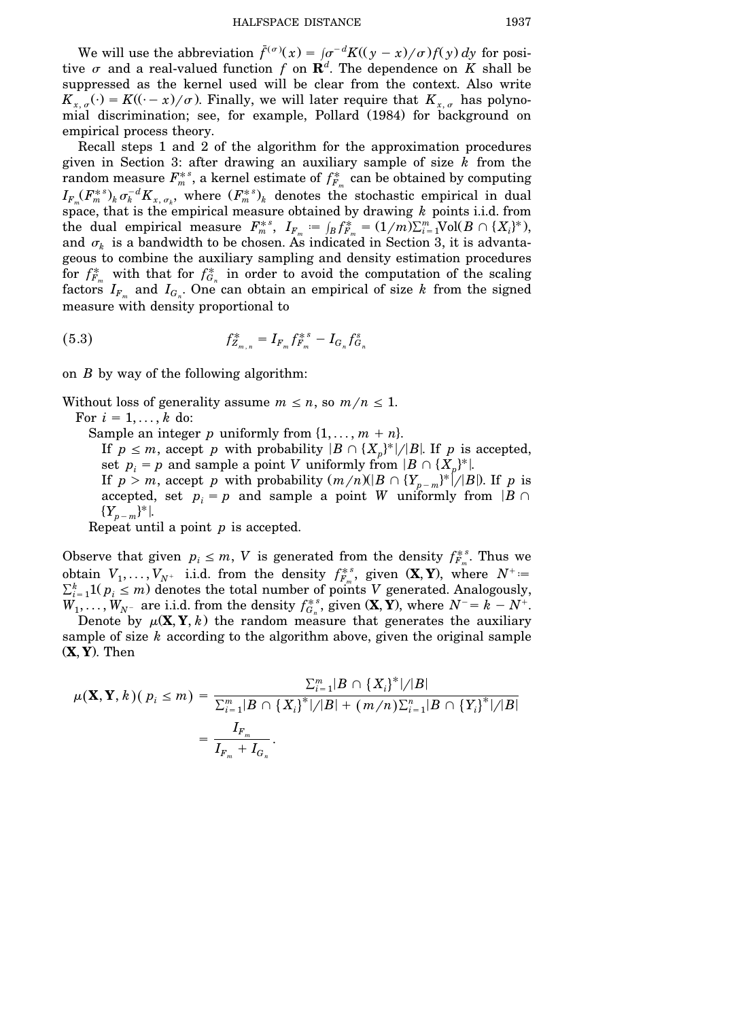We will use the abbreviation  $\bar{f}^{(\sigma)}(x) = (\sigma^{-d}K((y-x)/\sigma)f(y)dy$  for positive  $\sigma$  and a real-valued function  $f$  on  $\mathbf{R}^d$ . The dependence on  $K$  shall be suppressed as the kernel used will be clear from the context. Also write  $K_{x, \sigma}(\cdot) = K((\cdot - x)/\sigma)$ . Finally, we will later require that  $K_{x, \sigma}$  has polynomial discrimination; see, for example, Pollard (1984) for background on empirical process theory.

Recall steps 1 and 2 of the algorithm for the approximation procedures given in Section 3: after drawing an auxiliary sample of size *k* from the  $r$  random measure  $F_m^{*s}$ , a kernel estimate of  $f_{F_m}^*$  can be obtained by computing  $I_{F_m}(F_m^{*s})_k \sigma_k^{-d} K_{x, \sigma_k}$ , where  $(F_m^{*s})_k$  denotes the stochastic empirical in dual space, that is the empirical measure obtained by drawing *k* points i.i.d. from  $F_m^*$ ,  $I_{F_m} := \int_B f_{F_m}^* = (1/m)\sum_{i=1}^m \text{Vol}(B \cap \{X_i\}^*)$ , and  $\sigma_k$  is a bandwidth to be chosen. As indicated in Section 3, it is advantageous to combine the auxiliary sampling and density estimation procedures for  $f_{F_m}^*$  with that for  $f_{G_n}^*$  in order to avoid the computation of the scaling factors  $I_{F_m}$  and  $I_{G_n}$ . One can obtain an empirical of size k from the signed measure with density proportional to

(5.3) 
$$
f_{Z_{m,n}}^* = I_{F_m} f_{F_m}^{*s} - I_{G_n} f_{G_n}^s
$$

on *B* by way of the following algorithm:

Without loss of generality assume  $m \le n$ , so  $m/n \le 1$ .

For  $i = 1, \ldots, k$  do:

Sample an integer *p* uniformly from  $\{1, \ldots, m + n\}$ .

If  $p \leq m$ , accept *p* with probability  $|B \cap \{X_p\}^*|/|B|$ . If *p* is accepted, set  $p_i = p$  and sample a point *V* uniformly from  $|B \cap \{X_p\}^*|$ .

If  $p > m$ , accept *p* with probability  $(m/n)(B \cap {Y_{p-m}}^* / B)$ . If *p* is accepted, set  $p_i = p$  and sample a point *W* uniformly from  $|B \cap$  $\{Y_{p-m}\}^*$ |.

Repeat until a point *p* is accepted.

Observe that given  $p_i \leq m$ , *V* is generated from the density  $f_{F_m}^{*s}$ . Thus we obtain  $V_1, \ldots, V_{N^+}$  i.i.d. from the density  $f_{F_m}^{*s}$ , given  $(\mathbf{X}, \mathbf{Y})$ , where  $N^+ =$  $\sum_{i=1}^{k} 1(p_i \le m)$  denotes the total number of points V generated. Analogously,  $W_1, \ldots, W_{N^-}$  are i.i.d. from the density  $f_{G_n}^{*,s}$ , given  $(\mathbf{X}, \mathbf{Y})$ , where  $N^- = k - N^+$ .

Denote by  $\mu(\mathbf{X}, \mathbf{Y}, k)$  the random measure that generates the auxiliary sample of size *k* according to the algorithm above, given the original sample Ž**X**, **Y**.. Then

$$
\mu(\mathbf{X}, \mathbf{Y}, k)(p_i \leq m) = \frac{\sum_{i=1}^{m} |B \cap \{X_i\}^*| / |B|}{\sum_{i=1}^{m} |B \cap \{X_i\}^*| / |B| + (m/n)\sum_{i=1}^{n} |B \cap \{Y_i\}^*| / |B|}
$$
  
= 
$$
\frac{I_{F_m}}{I_{F_m} + I_{G_n}}.
$$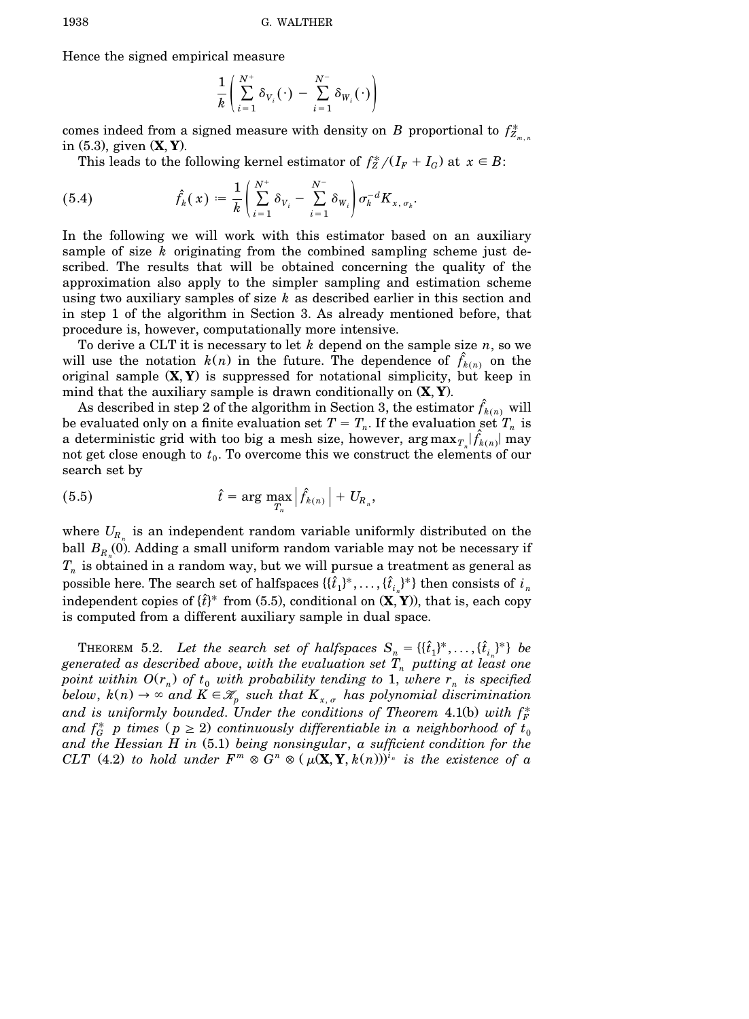Hence the signed empirical measure

$$
\frac{1}{k}\left(\sum_{i=1}^{N^+}\delta_{V_i}(\cdot)-\sum_{i=1}^{N^-}\delta_{W_i}(\cdot)\right)
$$

comes indeed from a signed measure with density on *B* proportional to  $f_{Z_{m,n}}^*$ in (5.3), given **(X, Y**).

This leads to the following kernel estimator of  $f_Z^*/(I_F + I_G)$  at  $x \in B$ :

(5.4) 
$$
\hat{f}_k(x) = \frac{1}{k} \left( \sum_{i=1}^{N^+} \delta_{V_i} - \sum_{i=1}^{N^-} \delta_{W_i} \right) \sigma_k^{-d} K_{x, \sigma_k}.
$$

In the following we will work with this estimator based on an auxiliary sample of size *k* originating from the combined sampling scheme just described. The results that will be obtained concerning the quality of the approximation also apply to the simpler sampling and estimation scheme using two auxiliary samples of size *k* as described earlier in this section and in step 1 of the algorithm in Section 3. As already mentioned before, that procedure is, however, computationally more intensive.

To derive a CLT it is necessary to let *k* depend on the sample size *n*, so we will use the notation  $k(n)$  in the future. The dependence of  $f_{k(n)}$  on the original sample  $(X, Y)$  is suppressed for notational simplicity, but keep in mind that the auxiliary sample is drawn conditionally on  $(X, Y)$ .

As described in step 2 of the algorithm in Section 3, the estimator  $f_{k(n)}$  will be evaluated only on a finite evaluation set  $T = T_n$ . If the evaluation set  $T_n$  is a deterministic grid with too big a mesh size, however,  $\arg \max_{T_n} |\hat{f}_{k(n)}|$  may not get close enough to  $t_0$ . To overcome this we construct the elements of our search set by

(5.5) 
$$
\hat{t} = \arg \max_{T_n} \left| \hat{f}_{k(n)} \right| + U_{R_n},
$$

where  $U_{R_n}$  is an independent random variable uniformly distributed on the ball  $B_{R_n}(0)$ . Adding a small uniform random variable may not be necessary if  $T_n$  is obtained in a random way, but we will pursue a treatment as general as  $\text{possible here. The search set of halfspaces } \{ \{ \hat{t}_1 \}^*, \ldots, \{ \hat{t}_{i_n} \}^* \} \text{ then consists of } i_n$ independent copies of  $\{\hat{t}\}^*$  from (5.5), conditional on  $(\mathbf{X}, \mathbf{Y})$ ), that is, each copy is computed from a different auxiliary sample in dual space.

THEOREM 5.2. Let the search set of halfspaces  $S_n = \{\{\hat{t}_1\}^*, \ldots, \{\hat{t}_{i_n}\}^*\}$  be *generated* as *described* above, with the evaluation set  $T_n$  putting at least one *point within*  $O(r_n)$  *of*  $t_0$  *with probability tending to* 1, *where*  $r_n$  *is specified below,*  $k(n) \to \infty$  and  $K \in \mathcal{K}_p$  such that  $K_{x, \sigma}$  has polynomial discrimination and is uniformly bounded. Under the conditions of Theorem  $4.1$ (b) with  $f_F^*$ and  $f_G^*$  *p* times ( $p \ge 2$ ) continuously differentiable in a neighborhood of  $t_0$ *and the Hessian H in* Ž5.1. *being nonsingular*, *a sufficient condition for the* CLT (4.2) to hold under  $F^m \otimes G^n \otimes (\mu(\mathbf{X}, \mathbf{Y}, k(n)))^{i_n}$  is the existence of a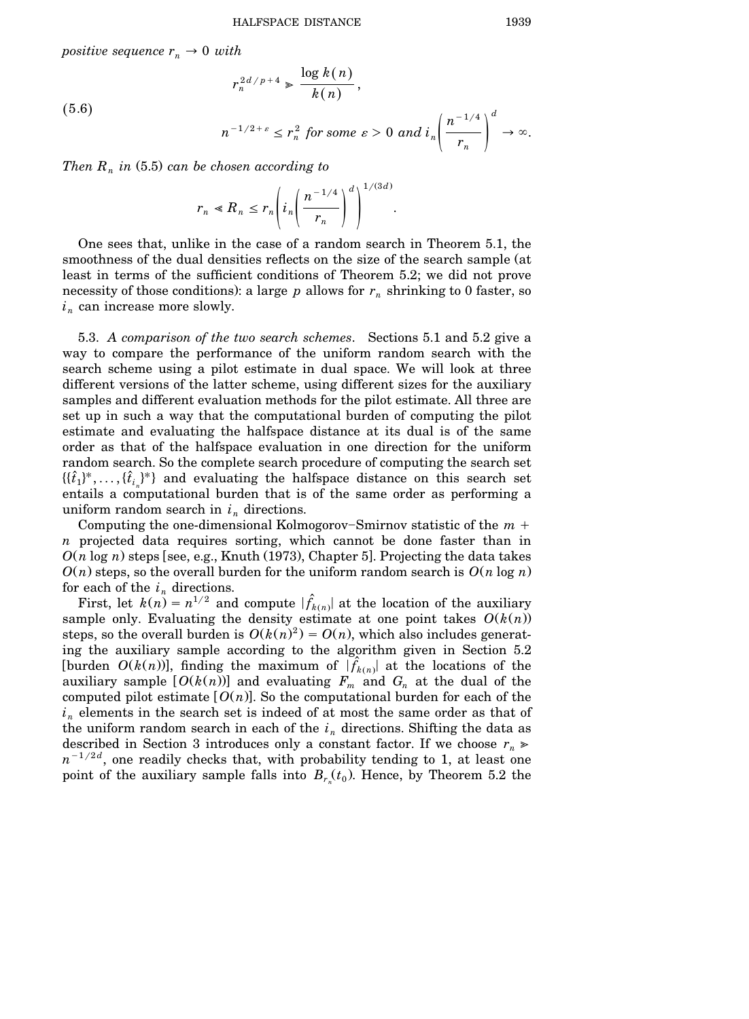$\log k(n)$ 

*positive sequence*  $r_n \to 0$  *with* 

 $(5.6)$ 

$$
r_n^{2d/p+4} \ge \frac{\log R(n)}{k(n)},
$$
  

$$
n^{-1/2+\varepsilon} \le r_n^2 \text{ for some } \varepsilon > 0 \text{ and } i_n \left( \frac{n^{-1/4}}{r_n} \right)^d \to \infty.
$$

*Then*  $R_n$  *in* (5.5) *can be chosen according to* 

$$
r_n \ll R_n \le r_n \left( i_n \left( \frac{n^{-1/4}}{r_n} \right)^d \right)^{1/(3d)}.
$$

One sees that, unlike in the case of a random search in Theorem 5.1, the smoothness of the dual densities reflects on the size of the search sample (at least in terms of the sufficient conditions of Theorem 5.2; we did not prove necessity of those conditions): a large  $p$  allows for  $r_n$  shrinking to 0 faster, so  $i_n$  can increase more slowly.

5.3. *A comparison of the two search schemes*. Sections 5.1 and 5.2 give a way to compare the performance of the uniform random search with the search scheme using a pilot estimate in dual space. We will look at three different versions of the latter scheme, using different sizes for the auxiliary samples and different evaluation methods for the pilot estimate. All three are set up in such a way that the computational burden of computing the pilot estimate and evaluating the halfspace distance at its dual is of the same order as that of the halfspace evaluation in one direction for the uniform random search. So the complete search procedure of computing the search set  $\{\{\hat{t}_1\}^*, \ldots, \{\hat{t}_{i_n}\}^*\}$  and evaluating the halfspace distance on this search set entails a computational burden that is of the same order as performing a uniform random search in  $i_n$  directions.

Computing the one-dimensional Kolmogorov–Smirnov statistic of the  $m +$ *n* projected data requires sorting, which cannot be done faster than in  $O(n \log n)$  steps [see, e.g., Knuth (1973), Chapter 5]. Projecting the data takes  $O(n)$  steps, so the overall burden for the uniform random search is  $O(n \log n)$ . for each of the  $i_n$  directions.

First, let  $k(n) = n^{1/2}$  and compute  $|\hat{f}_{k(n)}|$  at the location of the auxiliary sample only. Evaluating the density estimate at one point takes  $O(k(n))$ steps, so the overall burden is  $O(k(n)^2) = O(n)$ , which also includes generating the auxiliary sample according to the algorithm given in Section 5.2 [burden  $O(k(n))$ ], finding the maximum of  $|\hat{f}_{k(n)}|$  at the locations of the auxiliary sample  $[O(k(n))]$  and evaluating  $F_m$  and  $G_n$  at the dual of the computed pilot estimate  $[O(n)]$ . So the computational burden for each of the  $i_n$  elements in the search set is indeed of at most the same order as that of the uniform random search in each of the  $i_n$  directions. Shifting the data as described in Section 3 introduces only a constant factor. If we choose  $r_n \geq$  $n^{-1/2d}$ , one readily checks that, with probability tending to 1, at least one point of the auxiliary sample falls into  $B_{r_n}(t_0)$ . Hence, by Theorem 5.2 the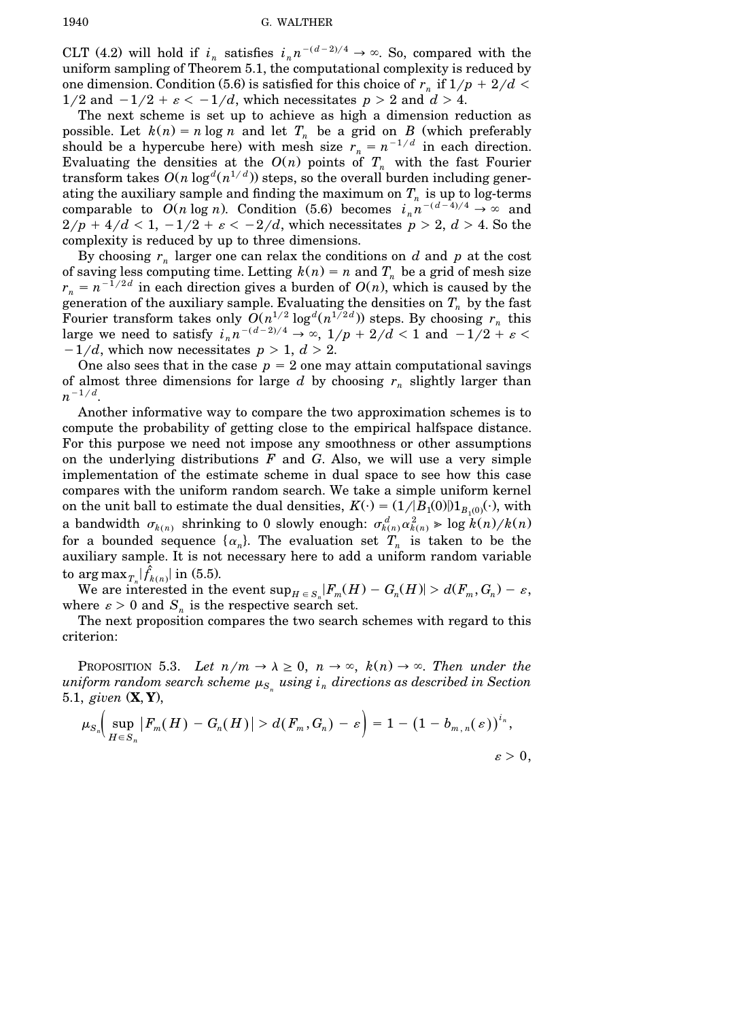CLT (4.2) will hold if  $i_n$  satisfies  $i_n n^{-(d-2)/4} \rightarrow \infty$ . So, compared with the uniform sampling of Theorem 5.1, the computational complexity is reduced by one dimension. Condition (5.6) is satisfied for this choice of  $r_n$  if  $1/p + 2/d <$  $1/2$  and  $-1/2 + \varepsilon < -1/d$ , which necessitates  $p > 2$  and  $d > 4$ .

The next scheme is set up to achieve as high a dimension reduction as possible. Let  $k(n) = n \log n$  and let  $T_n$  be a grid on *B* (which preferably should be a hypercube here) with mesh size  $r_n = n^{-1/d}$  in each direction. Evaluating the densities at the  $O(n)$  points of  $T_n$  with the fast Fourier  $d$  transform takes  $O(n\log^d(n^{1/d}))$  steps, so the overall burden including generating the auxiliary sample and finding the maximum on  $T_n$  is up to log-terms comparable to  $O(n \log n)$ . Condition (5.6) becomes  $i_n n^{-(d-4)/4} \to \infty$  and  $2/p + 4/d < 1$ ,  $-1/2 + \varepsilon < -2/d$ , which necessitates  $p > 2$ ,  $d > 4$ . So the complexity is reduced by up to three dimensions.

By choosing  $r_n$  larger one can relax the conditions on  $d$  and  $p$  at the cost of saving less computing time. Letting  $k(n) = n$  and  $T<sub>n</sub>$  be a grid of mesh size  $r_n = n^{-1/2d}$  in each direction gives a burden of  $O(n)$ , which is caused by the generation of the auxiliary sample. Evaluating the densities on  $T_n$  by the fast Fourier transform takes only  $O(n^{1/2} \log^d(n^{1/2d}))$  steps. By choosing  $r_n$  this large we need to satisfy  $i_n n^{-(d-2)/4} \to \infty$ ,  $1/p + 2/d < 1$  and  $-1/2 + \varepsilon < 1$  $-1/d$ , which now necessitates  $p > 1$ ,  $d > 2$ .

One also sees that in the case  $p = 2$  one may attain computational savings of almost three dimensions for large *d* by choosing *r<sup>n</sup>* slightly larger than  $n^{-1/d}$ .

Another informative way to compare the two approximation schemes is to compute the probability of getting close to the empirical halfspace distance. For this purpose we need not impose any smoothness or other assumptions on the underlying distributions *F* and *G*. Also, we will use a very simple implementation of the estimate scheme in dual space to see how this case compares with the uniform random search. We take a simple uniform kernel on the unit ball to estimate the dual densities,  $K(\cdot) = (1/|B_1(0)|)1_{B_1(0)}(\cdot)$ , with *a* bandwidth  $\sigma_{k(n)}$  shrinking to 0 slowly enough:  $\sigma_{k(n)}^d \alpha_{k(n)}^2 \geqslant \log k(n)/k(n)$ for a bounded sequence  $\{\alpha_n\}$ . The evaluation set  $T_n$  is taken to be the auxiliary sample. It is not necessary here to add a uniform random variable to  $\arg \max_{T_n} |f_{k(n)}|$  in (5.5).

We are interested in the event  $\sup_{H \in S_n} |F_m(H) - G_n(H)| > d(F_m, G_n) - \varepsilon$ , where  $\varepsilon > 0$  and  $S_n$  is the respective search set.

The next proposition compares the two search schemes with regard to this criterion:

PROPOSITION 5.3. Let  $n/m \to \lambda \geq 0$ ,  $n \to \infty$ ,  $k(n) \to \infty$ . Then under the  $\mu_{S_n}$  *uniform <code>random</code> search scheme*  $\mu_{S_n}$  *<i>using*  $i_n$  *directions as described in Section* 5.1, *given*  $(X, Y)$ ,

$$
\mu_{S_n}\!\!\left(\sup_{H\in S_n}|F_m(H)-G_n(H)|\!>\!d(F_m,G_n)-\varepsilon\right)=1-\left(1-b_{m,\,n}(\,\varepsilon)\right)^{i_n},\\ \qquad \varepsilon>0,
$$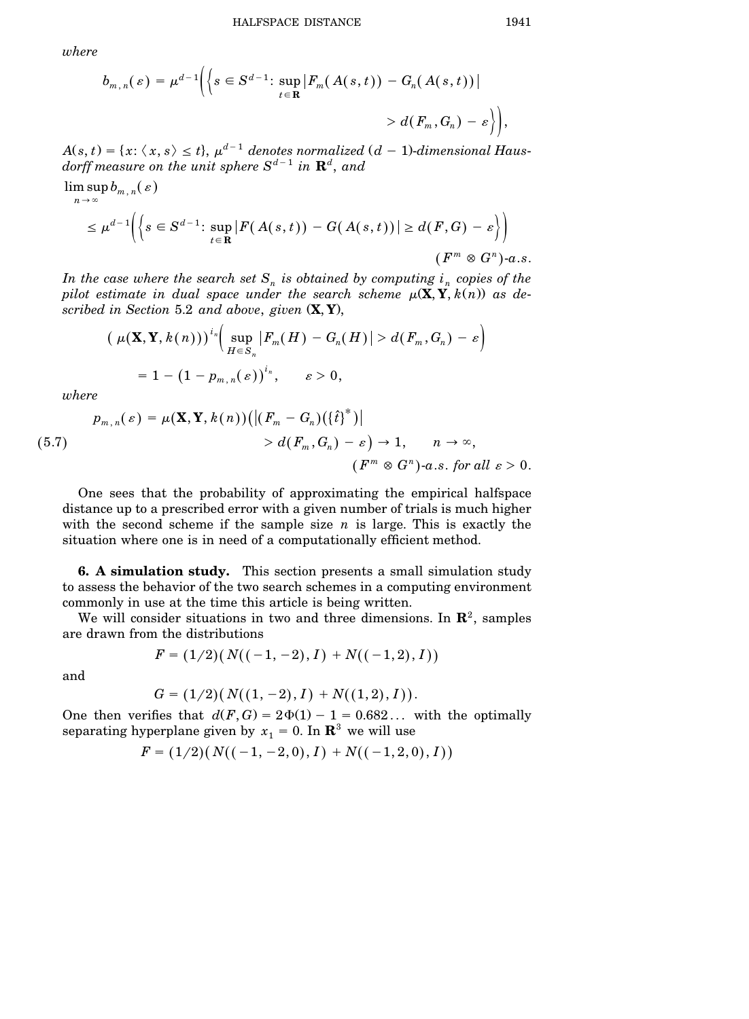*where*

$$
b_{m,n}(\varepsilon) = \mu^{d-1} \Biggl( \Biggl\{ s \in S^{d-1} \Biggr: \sup_{t \in \mathbf{R}} \bigl| F_m(A(s,t)) - G_n(A(s,t)) \bigr| \\ > d(F_m, G_n) - \varepsilon \Biggr\} \Biggr),
$$

 $A(s,t) = \{x\text{: } \langle \, x,s\, \rangle \leq t\}, \, \mu^{d-1}$  denotes normalized  $(d-1)$ -dimensional Haus $d$ *orff measure on the unit sphere*  $S^{d-1}$  *in*  $\mathbf{R}^{d},$  *and* 

$$
\limsup_{n \to \infty} b_{m,n}(\varepsilon)
$$
\n
$$
\leq \mu^{d-1} \Biggl( \Biggl\{ s \in S^{d-1} \Biggr. \sup_{t \in \mathbf{R}} \Biggl| F(A(s,t)) - G(A(s,t)) \Biggr| \geq d(F,G) - \varepsilon \Biggr\} \Biggr) \Biggr) \qquad (F^m \otimes G^n) \text{-} a.s.
$$

*In the case where the search set*  $S_n$  *is obtained by computing*  $i_n$  *copies of the pilot estimate in dual space under the search scheme*  $\mu(\mathbf{X}, \mathbf{Y}, k(n))$  *as described in Section* 5.2 *and above*, *given* Ž**X**, **Y**.,

$$
\left(\mu(\mathbf{X}, \mathbf{Y}, k(n))\right)^{i_n} \left(\sup_{H \in S_n} |F_m(H) - G_n(H)| > d(F_m, G_n) - \varepsilon\right)
$$
  
= 1 - \left(1 - p\_{m,n}(\varepsilon)\right)^{i\_n}, \quad \varepsilon > 0,

*where*

$$
p_{m,n}(\varepsilon) = \mu(\mathbf{X}, \mathbf{Y}, k(n)) \Big( \big| \big( F_m - G_n \big) \big( \{\hat{t}\}^* \big) \big| \\ > d(F_m, G_n) - \varepsilon \Big) \to 1, \qquad n \to \infty,
$$
  

$$
\big( F^m \otimes G^n \big) \cdot a.s. \text{ for all } \varepsilon > 0.
$$

One sees that the probability of approximating the empirical halfspace distance up to a prescribed error with a given number of trials is much higher with the second scheme if the sample size  $n$  is large. This is exactly the situation where one is in need of a computationally efficient method.

**6. A simulation study.** This section presents a small simulation study to assess the behavior of the two search schemes in a computing environment commonly in use at the time this article is being written.

We will consider situations in two and three dimensions. In  $\mathbb{R}^2$ , samples are drawn from the distributions

and

$$
F = (1/2)(N((-1,-2),I) + N((-1,2),I))
$$

$$
G = (1/2)(N((1, -2), I) + N((1, 2), I)).
$$

One then verifies that  $d(F, G) = 2\Phi(1) - 1 = 0.682...$  with the optimally separating hyperplane given by  $x_1 = 0$ . In  $\mathbb{R}^3$  we will use

$$
F=(1/2)\big(\,N(\hskip-1mm(-1,-2,0),I\hskip-1mm)+N(\hskip-1mm(-1,2,0),I\hskip-1mm)\big)
$$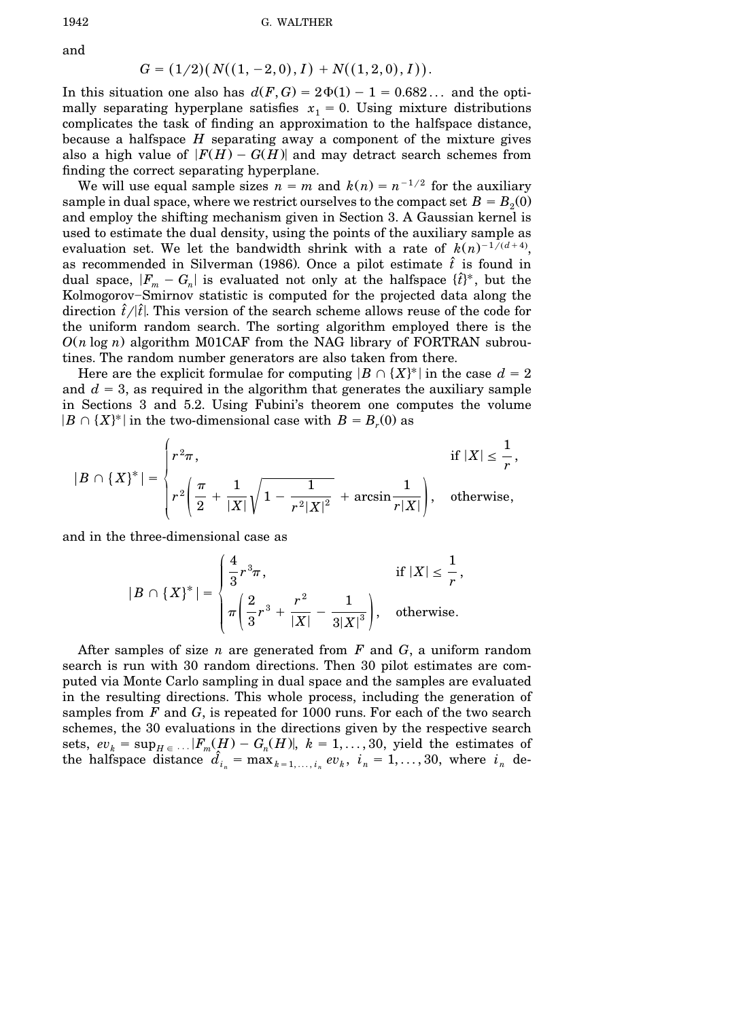and

$$
G = (1/2) ( N((1, -2, 0), I) + N((1, 2, 0), I)).
$$

In this situation one also has  $d(F, G) = 2\Phi(1) - 1 = 0.682...$  and the optimally separating hyperplane satisfies  $x_1 = 0$ . Using mixture distributions complicates the task of finding an approximation to the halfspace distance, because a halfspace *H* separating away a component of the mixture gives also a high value of  $|F(H) - G(H)|$  and may detract search schemes from finding the correct separating hyperplane.

We will use equal sample sizes  $n = m$  and  $k(n) = n^{-1/2}$  for the auxiliary sample in dual space, where we restrict ourselves to the compact set  $B = B<sub>2</sub>(0)$ and employ the shifting mechanism given in Section 3. A Gaussian kernel is used to estimate the dual density, using the points of the auxiliary sample as evaluation set. We let the bandwidth shrink with a rate of  $k(n)^{-1/(d+4)}$ , as recommended in Silverman (1986). Once a pilot estimate  $\hat{t}$  is found in dual space,  $|F_m - G_n|$  is evaluated not only at the halfspace  $\{\hat{t}\}^*$ , but the Kolmogorov-Smirnov statistic is computed for the projected data along the direction  $\hat{t}/|\hat{t}|$ . This version of the search scheme allows reuse of the code for the uniform random search. The sorting algorithm employed there is the  $O(n \log n)$  algorithm M01CAF from the NAG library of FORTRAN subroutines. The random number generators are also taken from there.

Here are the explicit formulae for computing  $|B \cap \{X\}^*|$  in the case  $d = 2$ and  $d = 3$ , as required in the algorithm that generates the auxiliary sample in Sections 3 and 5.2. Using Fubini's theorem one computes the volume  $|B \cap \{X\}^*|$  in the two-dimensional case with  $B = B_r(0)$  as

$$
|B \cap \{X\}^*| = \begin{cases} r^2 \pi, & \text{if } |X| \leq \frac{1}{r}, \\ r^2 \left( \frac{\pi}{2} + \frac{1}{|X|} \sqrt{1 - \frac{1}{r^2 |X|^2}} + \arcsin \frac{1}{r |X|} \right), & \text{otherwise,} \end{cases}
$$

and in the three-dimensional case as

$$
|B \cap \{X\}^*| = \begin{cases} \frac{4}{3}r^3\pi, & \text{if } |X| \leq \frac{1}{r}, \\ \pi\left(\frac{2}{3}r^3 + \frac{r^2}{|X|} - \frac{1}{3|X|^3}\right), & \text{otherwise.} \end{cases}
$$

After samples of size *n* are generated from *F* and *G*, a uniform random search is run with 30 random directions. Then 30 pilot estimates are computed via Monte Carlo sampling in dual space and the samples are evaluated in the resulting directions. This whole process, including the generation of samples from *F* and *G*, is repeated for 1000 runs. For each of the two search schemes, the 30 evaluations in the directions given by the respective search sets,  $ev_k = \sup_{H \in \dots} |F_m(H) - G_n(H)|$ ,  $k = 1, \dots, 30$ , yield the estimates of the halfspace distance  $\hat{d}_{i_n} = \max_{k=1,\dots,i_n} ev_k$ ,  $i_n = 1,\dots,30$ , where  $i_n$  de-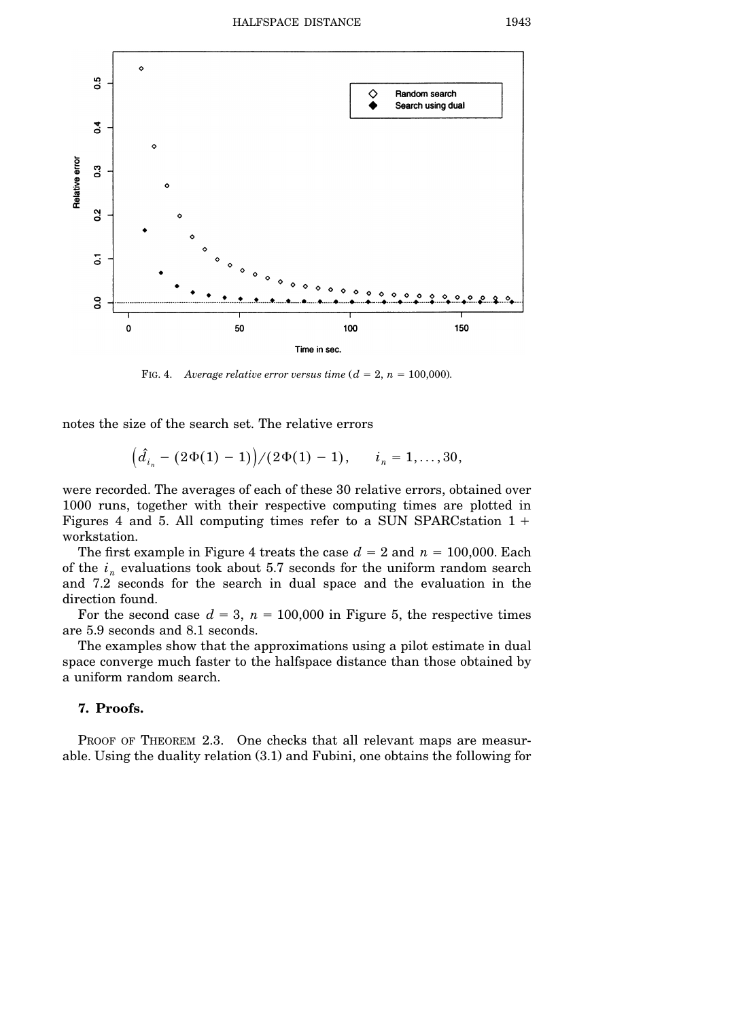

FIG. 4. Average relative error versus time  $(d = 2, n = 100,000)$ .

notes the size of the search set. The relative errors

$$
(\hat{d}_{i_n} - (2\Phi(1) - 1))/(2\Phi(1) - 1), \quad i_n = 1, ..., 30,
$$

were recorded. The averages of each of these 30 relative errors, obtained over 1000 runs, together with their respective computing times are plotted in Figures 4 and 5. All computing times refer to a SUN SPARC station  $1 +$ workstation.

The first example in Figure 4 treats the case  $d = 2$  and  $n = 100,000$ . Each of the  $i_n$  evaluations took about 5.7 seconds for the uniform random search and 7.2 seconds for the search in dual space and the evaluation in the direction found.

For the second case  $d = 3$ ,  $n = 100,000$  in Figure 5, the respective times are 5.9 seconds and 8.1 seconds.

The examples show that the approximations using a pilot estimate in dual space converge much faster to the halfspace distance than those obtained by a uniform random search.

# **7. Proofs.**

PROOF OF THEOREM 2.3. One checks that all relevant maps are measurable. Using the duality relation  $(3.1)$  and Fubini, one obtains the following for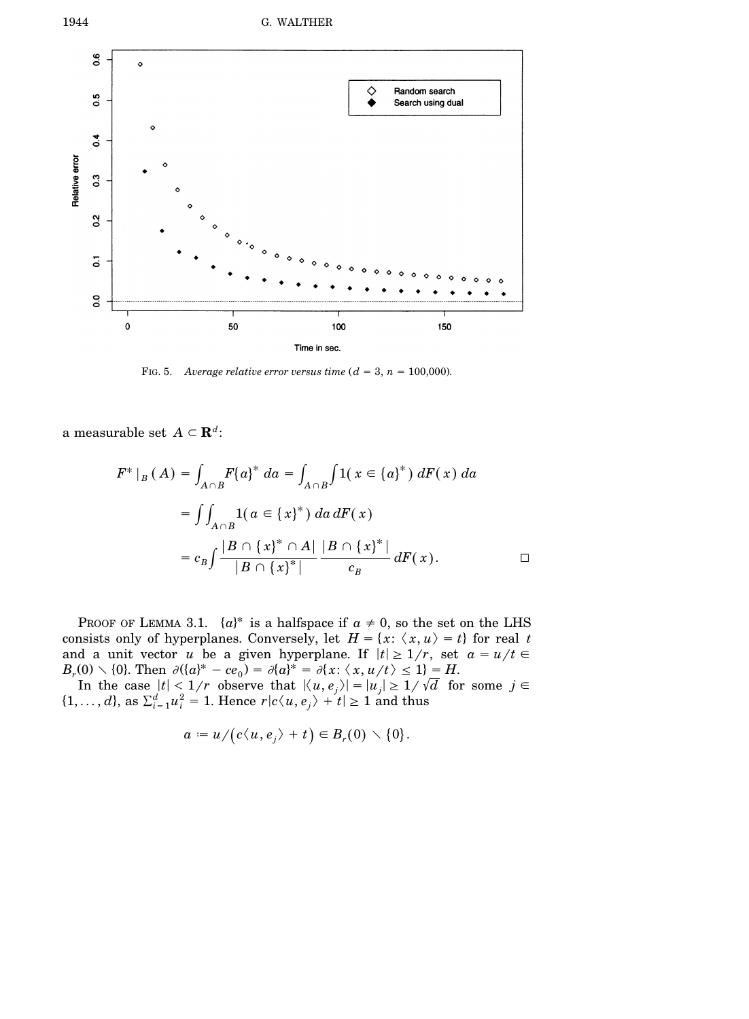

FIG. 5. Average relative error versus time  $(d = 3, n = 100,000)$ .

a measurable set  $A \subset \mathbf{R}^d$ :

$$
F^*|_B(A) = \int_{A \cap B} F\{a\}^* da = \int_{A \cap B} \int 1(x \in \{a\}^*) dF(x) da
$$
  
= 
$$
\int \int_{A \cap B} 1(a \in \{x\}^*) da dF(x)
$$
  
= 
$$
c_B \int \frac{|B \cap \{x\}^* \cap A|}{|B \cap \{x\}^*|} \frac{|B \cap \{x\}^*|}{c_B} dF(x).
$$

PROOF OF LEMMA 3.1.  $\{a\}^*$  is a halfspace if  $a \neq 0$ , so the set on the LHS consists only of hyperplanes. Conversely, let  $H = \{x: \langle x, u \rangle = t\}$  for real *t* and a unit vector *u* be a given hyperplane. If  $|t| \geq 1/r$ , set  $a = u/t$  $B_r(0) \setminus \{0\}$ . Then  $\partial (\{a\}^* - ce_0) = \partial \{a\}^* = \partial \{x : \langle x, u/t \rangle \le 1\} = H$ .<br>In the case  $|t| < 1/r$  observe that  $|\langle u, e_j \rangle| = |u_j| \ge 1/\sqrt{d}$  for some  $j \in$ 

 $\{1, \ldots, d\}$ , as  $\sum_{i=1}^{d} u_i^2 = 1$ . Hence  $r | c \langle u, e_j \rangle + t | \ge 1$  and thus

$$
a := u/(c\langle u,e_j\rangle + t) \in B_r(0) \setminus \{0\}.
$$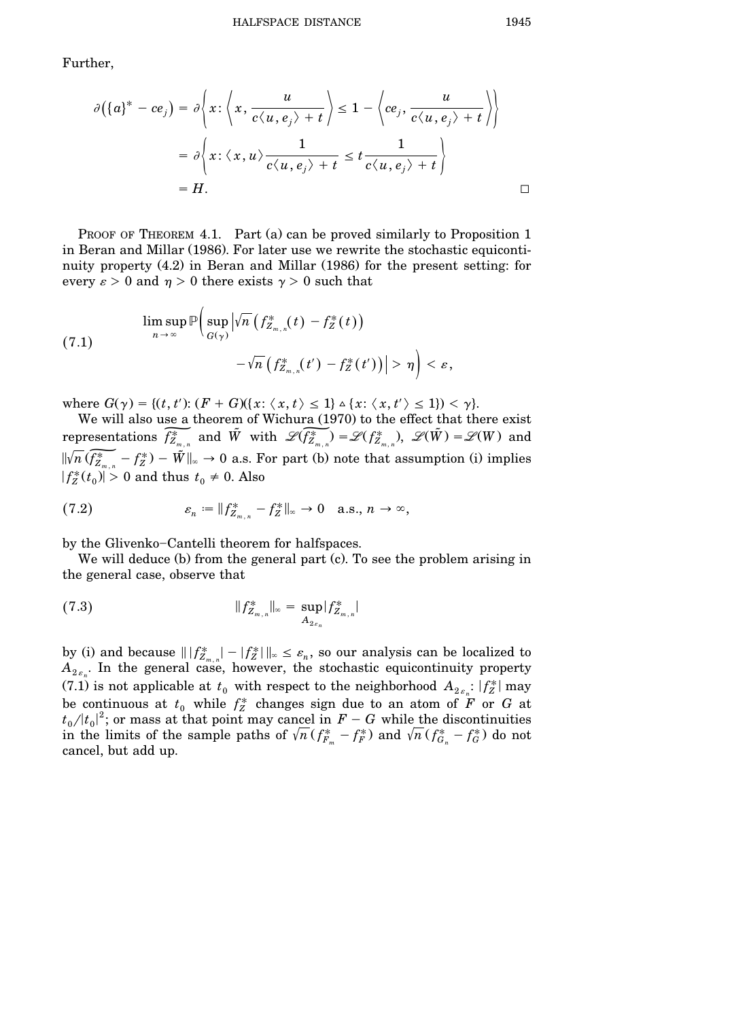Further,

$$
\partial(\lbrace a \rbrace^* - ce_j) = \partial \lbrace x : \langle x, \frac{u}{c \langle u, e_j \rangle + t} \rbrace \le 1 - \langle ce_j, \frac{u}{c \langle u, e_j \rangle + t} \rbrace \rbrace
$$
  
=  $\partial \lbrace x : \langle x, u \rangle \frac{1}{c \langle u, e_j \rangle + t} \le t \frac{1}{c \langle u, e_j \rangle + t} \rbrace$   
= *H*.

PROOF OF THEOREM 4.1. Part (a) can be proved similarly to Proposition 1 in Beran and Millar (1986). For later use we rewrite the stochastic equicontinuity property  $(4.2)$  in Beran and Millar  $(1986)$  for the present setting: for every  $\varepsilon > 0$  and  $\eta > 0$  there exists  $\gamma > 0$  such that

(7.1)  
\n
$$
\limsup_{n\to\infty} \mathbb{P}\Big(\sup_{G(\gamma)} \Big|\sqrt{n}\Big(f_{Z_{m,n}}^*(t) - f_Z^*(t)\Big) - \sqrt{n}\Big(f_{Z_{m,n}}^*(t') - f_Z^*(t')\Big)\Big| > \eta \Big) < \varepsilon,
$$

where  $G(\gamma) = \{(t, t') : (F + G)(\{x : \langle x, t \rangle \leq 1\} \wedge \{x : \langle x, t' \rangle \leq 1\}) < \gamma\}.$ 

We will also use a theorem of Wichura (1970) to the effect that there exist<br>representations  $\overline{f_{Z_{m,n}}^*}$  and  $\tilde{W}$  with  $\mathscr{L}(\overline{f_{Z_{m,n}}^*}) = \mathscr{L}(f_{Z_{m,n}}^*), \mathscr{L}(\tilde{W}) = \mathscr{L}(W)$  and<br> $\overline{W_{R,n}}(\overline{f_{Z_{m,n}}^*} - f_{\in$  $\sqrt[n]{n} \widetilde{f_{Z_{\infty}}^* - f_Z^*} - \widetilde{f_Z}$  +  $\widetilde{W}\|_{\infty} \to 0$  a.s. For part (b) note that assumption (i) implies  $\overline{\phantom{a}}$  $f_Z^*(t_0) > 0$  and thus  $t_0 \neq 0$ . Also

(7.2) 
$$
\varepsilon_n := \|f_{Z_{m,n}}^* - f_Z^*\|_{\infty} \to 0 \quad \text{a.s., } n \to \infty,
$$

by the Glivenko-Cantelli theorem for halfspaces.

We will deduce  $(b)$  from the general part  $(c)$ . To see the problem arising in the general case, observe that

(7.3) 
$$
||f_{Z_{m,n}}^*||_{\infty} = \sup_{A_{2\varepsilon_n}} |f_{Z_{m,n}}^*|
$$

by (i) and because  $\| |f_{Z_{m,n}}^*| - |f_Z^*| \|_{\infty} \leq \varepsilon_n$ , so our analysis can be localized to  $A_{2\varepsilon_n}$ . In the general case, however, the stochastic equicontinuity property (7.1) is not applicable at  $t_0$  with respect to the neighborhood  $A_{2\epsilon_n}: |f^*_Z|$  may be continuous at  $t_0$  while  $f_Z^*$  changes sign due to an atom of  $\overline{F}$  or  $G$  at  $t_0/|t_0|^2$ ; or mass at that point may cancel in  $F-G$  while the discontinuities in the limits of the sample paths of  $\sqrt{n} (f_{F_m}^* - f_F^*)$  and  $\sqrt{n} (f_{G_n}^* - f_G^*)$  do not cancel, but add up.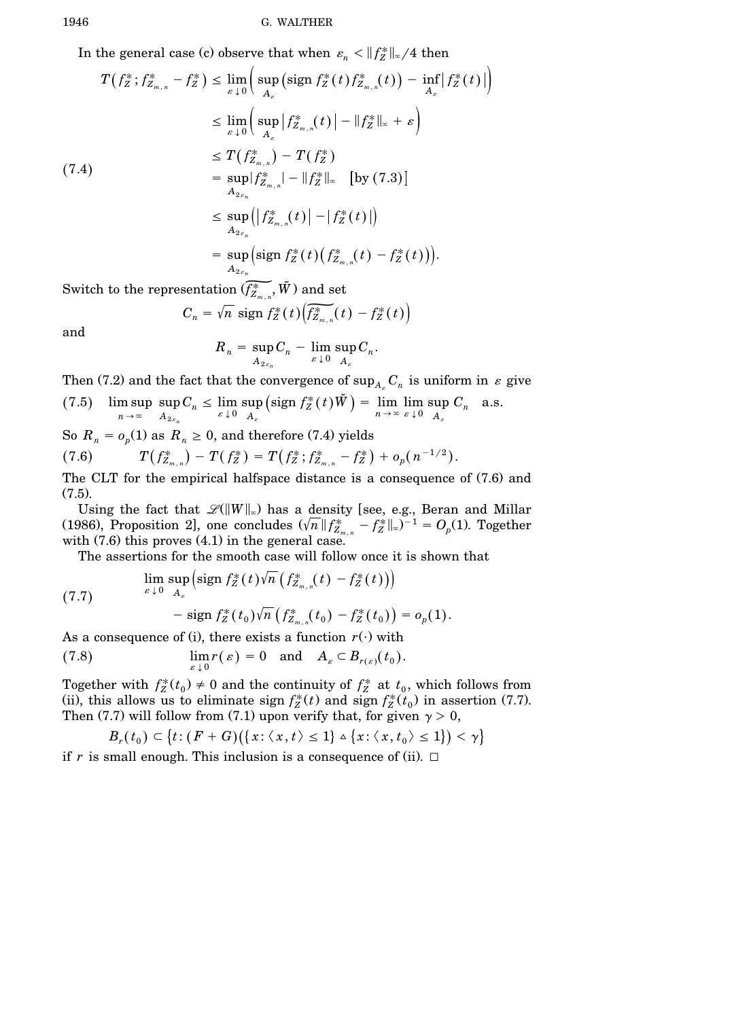In the general case (c) observe that when  $\varepsilon_n < ||f_Z^*||_{\infty}/4$  then

$$
T(f_Z^*; f_{Z_{m,n}}^* - f_Z^*) \leq \lim_{\varepsilon \downarrow 0} \left( \sup_{A_{\varepsilon}} (\text{sign } f_Z^*(t) f_{Z_{m,n}}^*(t)) - \inf_{A_{\varepsilon}} |f_Z^*(t)| \right)
$$
  
\n
$$
\leq \lim_{\varepsilon \downarrow 0} \left( \sup_{A_{\varepsilon}} |f_{Z_{m,n}}^*(t)| - \|f_Z^*\|_{\infty} + \varepsilon \right)
$$
  
\n
$$
\leq T(f_{Z_{m,n}}^*) - T(f_Z^*)
$$
  
\n7.4)  
\n
$$
= \sup_{A_{2\varepsilon_n}} |f_{Z_{m,n}}^*| - \|f_Z^*\|_{\infty} \quad \text{[by (7.3)]}
$$
  
\n
$$
\leq \sup_{A_{2\varepsilon_n}} \left( |f_{Z_{m,n}}^*(t)| - |f_Z^*(t)| \right)
$$
  
\n
$$
= \sup_{A_{2\varepsilon}} \left( \text{sign } f_Z^*(t) \left( f_{Z_{m,n}}^*(t) - f_Z^*(t) \right) \right).
$$

 $\begin{align} A_{2\varepsilon_n} \ \text{Switch to the representation } ( \widetilde{f_{Z_{m,n}}^*}, \tilde{W} ) \text{ and set } \ C_n = \sqrt{n} \text{ sign } f_Z^*(t) \big( \widetilde{f_{Z_{m,n}}^*}(t) - f_Z^*(t) \big) \end{align}$ 

$$
C_n = \sqrt{n} \text{ sign } f_Z^*(t) \left( \widetilde{f_{Z_{m,n}}^*(t)} - f_Z^*(t) \right)
$$

and

$$
R_n = \sup_{A_{2\varepsilon_n}} C_n - \lim_{\varepsilon \downarrow 0} \sup_{A_\varepsilon} C_n.
$$

Then (7.2) and the fact that the convergence of  $\sup_{A_{\kappa}} C_n$  is uniform in  $\varepsilon$  give

(7.5) 
$$
\limsup_{n \to \infty} \sup_{A_{2\varepsilon_n}} C_n \leq \lim_{\varepsilon \downarrow 0} \sup_{A_{\varepsilon}} \left( \operatorname{sign} f_Z^*(t) \tilde{W} \right) = \lim_{n \to \infty} \lim_{\varepsilon \downarrow 0} \sup_{A_{\varepsilon}} C_n
$$
 a.s.

So  $R_n = o_p(1)$  as  $R_n \geq 0$ , and therefore (7.4) yields (7.6)  $T(f_{Z_{m,n}}^*) - T(f_Z^*) = T(f_Z^*; f_{Z_{m,n}}^* - f_Z^*) + o_p(n^{-1/2}).$ 

The CLT for the empirical halfspace distance is a consequence of  $(7.6)$  and  $(7.5).$ 

Using the fact that  $\mathcal{L}(\|W\|_{\infty})$  has a density [see, e.g., Beran and Millar  $(1986)$ , Proposition 2], one concludes  $(\sqrt{n} \| f_{Z_{m,n}}^* - f_Z^* \|_{\infty})^{-1} = O_p(1)$ . Together with  $(7.6)$  this proves  $(4.1)$  in the general case.

The assertions for the smooth case will follow once it is shown that

(7.7) 
$$
\lim_{\varepsilon \downarrow 0} \sup_{A_{\varepsilon}} \left( \operatorname{sign} f_Z^*(t) \sqrt{n} \left( f_{Z_{m,n}}^*(t) - f_Z^*(t) \right) \right) - \operatorname{sign} f_Z^*(t_0) \sqrt{n} \left( f_{Z_{m,n}}^*(t_0) - f_Z^*(t_0) \right) = o_p(1).
$$

As a consequence of (i), there exists a function  $r(\cdot)$  with

(7.8) 
$$
\lim_{\varepsilon \downarrow 0} r(\varepsilon) = 0 \text{ and } A_{\varepsilon} \subset B_{r(\varepsilon)}(t_0).
$$

Together with  $f_Z^*(t_0) \neq 0$  and the continuity of  $f_Z^*$  at  $t_0$ , which follows from (ii), this allows us to eliminate sign  $f_Z^*(t)$  and sign  $f_Z^*(t_0)$  in assertion (7.7). Then (7.7) will follow from (7.1) upon verify that, for given  $\gamma > 0$ ,

$$
B_r(t_0) \subset \big\{ t \colon (F+G)\big( \{x: \langle x,t\rangle \leq 1\} \wedge \big\{x: \langle x,t_0\rangle \leq 1\} \big) < \gamma \big\}
$$

if r is small enough. This inclusion is a consequence of (ii).  $\Box$ 

 $\overline{(}$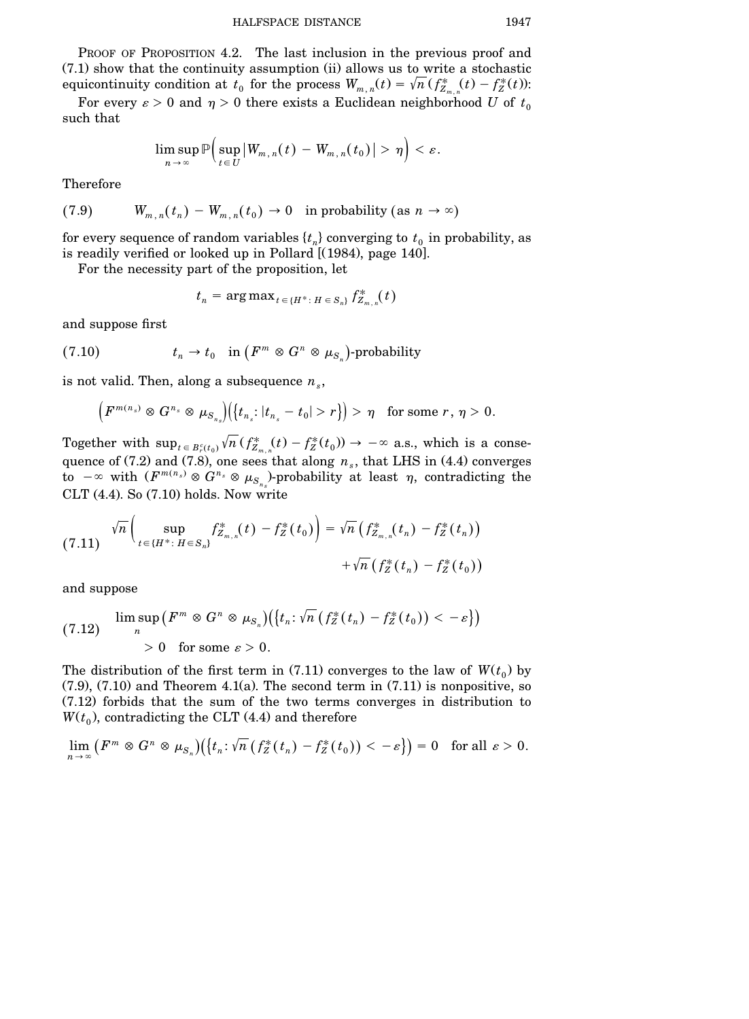PROOF OF PROPOSITION 4.2. The last inclusion in the previous proof and  $(7.1)$  show that the continuity assumption  $(ii)$  allows us to write a stochastic  $i$  equicontinuity condition at  $t_0$  for the process  $W_{m,n}(t) = \sqrt{n} (f_{Z_{m,n}}^*(t) - f_Z^*(t))$ :

For every  $\varepsilon > 0$  and  $\eta > 0$  there exists a Euclidean neighborhood *U* of  $t_0$ such that

$$
\limsup_{n\,\to\,\infty}{\mathbb P}\Big(\sup_{t\,\in\,U}\big|W_{m,\,n}(\,t)\,-\,W_{m,\,n}(\,t_0)\,\big|>\,\eta\Big)<\varepsilon.
$$

Therefore

(7.9) 
$$
W_{m,n}(t_n) - W_{m,n}(t_0) \to 0
$$
 in probability (as  $n \to \infty$ )

for every sequence of random variables  $\{t_n\}$  converging to  $t_0$  in probability, as is readily verified or looked up in Pollard  $[(1984),$  page  $140]$ .

For the necessity part of the proposition, let

$$
t_n = \arg \max_{t \in \{H^*: H \in S_n\}} f^*_{Z_{m,n}}(t)
$$

and suppose first

(7.10) 
$$
t_n \to t_0
$$
 in  $(F^m \otimes G^n \otimes \mu_{S_n})$ -probability

is not valid. Then, along a subsequence  $n_s$ ,

$$
\left(F^{m(n_s)}\otimes G^{n_s}\otimes \mu_{S_{n_s}}\right)\left(\left\{t_{n_s}:|t_{n_s}-t_0|>r\right\}\right)>\eta\quad\text{for some }r,\,\eta>0.
$$

Together with  $\sup_{t \in B_r^c(t_0)} \sqrt{n} (f_{Z_{m,n}}^*(t) - f_Z^*(t_0)) \to -\infty$  a.s., which is a consequence of (7.2) and (7.8), one sees that along  $n_s$ , that LHS in (4.4) converges to  $-\infty$  with  $(F^{m(n_s)} \otimes G^{n_s} \otimes \mu_{S_{n_s}})$ -probability at least  $\eta$ , contradicting the  $CLT$  (4.4). So (7.10) holds. Now write

$$
(7.11) \quad \sqrt{n}\left(\sup_{t \in \{H^*:\ H \in S_n\}} f_{Z_{m,n}}^*(t) - f_Z^*(t_0)\right) = \sqrt{n}\left(f_{Z_{m,n}}^*(t_n) - f_Z^*(t_n)\right) + \sqrt{n}\left(f_Z^*(t_n) - f_Z^*(t_0)\right)
$$

and suppose

$$
\limsup_n \left(F^m \otimes G^n \otimes \mu_{S_n}\right) \left(\left\{t_n : \sqrt{n} \left(f_Z^*(t_n) - f_Z^*(t_0)\right) < -\varepsilon\right\}\right) \\ > 0 \quad \text{for some } \varepsilon > 0.
$$

The distribution of the first term in  $(7.11)$  converges to the law of  $W(t_0)$  by  $(7.9)$ ,  $(7.10)$  and Theorem 4.1(a). The second term in  $(7.11)$  is nonpositive, so  $(7.12)$  forbids that the sum of the two terms converges in distribution to  $W(t_0)$ , contradicting the CLT  $(4.4)$  and therefore

$$
\lim_{n\to\infty}\left(F^m\otimes G^n\otimes\mu_{S_n}\right)\left(\left\{t_n\colon\sqrt{n}\left(f_Z^*(t_n)-f_Z^*(t_0)\right)<\varepsilon\right\}\right)=0\quad\text{for all }\varepsilon>0.
$$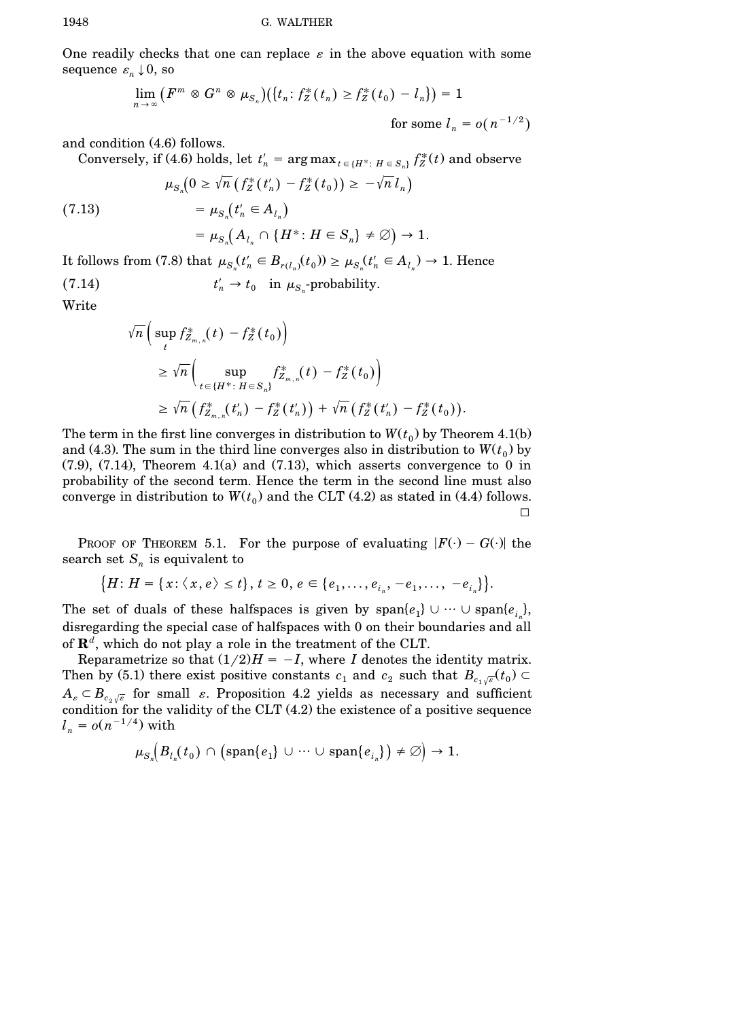One readily checks that one can replace  $\varepsilon$  in the above equation with some sequence  $\varepsilon_n \downarrow 0$ , so

$$
\lim_{n \to \infty} (F^m \otimes G^n \otimes \mu_{S_n}) (\lbrace t_n : f_Z^*(t_n) \ge f_Z^*(t_0) - l_n \rbrace) = 1
$$
  
for some  $l_n = o(n^{-1/2})$ 

and condition (4.6) follows.

Conversely, if (4.6) holds, let  $t'_n = \arg \max_{t \in \{H^* : H \in S_n\}} f_Z^*(t)$  and observe

$$
\mu_{S_n}\left(0\geq \sqrt{n}\left(f_Z^*(t'_n)-f_Z^*(t_0)\right)\geq -\sqrt{n}\,l_n\right)
$$

 $(7.13)$ 

$$
=\mu_{S_n}\!\!\left( A_{l_n}\cap \{H^*\colon H\in S_n\}\neq \varnothing\right)\to 1.
$$

It follows from (7.8) that  $\mu_{S_n}(t'_n \in B_{r(l_n)}(t_0)) \ge \mu_{S_n}(t'_n \in A_{l_n}) \to 1$ . Hence

(7.14) 
$$
t'_{n} \to t_{0} \text{ in } \mu_{S_{n}}\text{-probability.}
$$

 $= \mu_{S_n} (t'_n \in A_{l_n})$ 

Write

$$
\sqrt{n}\left(\sup_{t}f_{Z_{m,n}}^{*}(t)-f_{Z}^{*}(t_{0})\right)
$$
\n
$$
\geq \sqrt{n}\left(\sup_{t\in\{H^{*}: H\in S_{n}\}}f_{Z_{m,n}}^{*}(t)-f_{Z}^{*}(t_{0})\right)
$$
\n
$$
\geq \sqrt{n}\left(f_{Z_{m,n}}^{*}(t_{n}')-f_{Z}^{*}(t_{n}')\right)+\sqrt{n}\left(f_{Z}^{*}(t_{n}')-f_{Z}^{*}(t_{0})\right).
$$

The term in the first line converges in distribution to  $W(t_0)$  by Theorem 4.1(b) and (4.3). The sum in the third line converges also in distribution to  $W(t_0)$  by  $(7.9)$ ,  $(7.14)$ , Theorem 4.1(a) and  $(7.13)$ , which asserts convergence to 0 in probability of the second term. Hence the term in the second line must also converge in distribution to  $W(t_0)$  and the CLT (4.2) as stated in (4.4) follows.  $\Box$ 

PROOF OF THEOREM 5.1. For the purpose of evaluating  $|F(\cdot) - G(\cdot)|$  the search set  $S_n$  is equivalent to

 ${H : H = {x : \langle x, e \rangle \le t}, t \ge 0, e \in {e_1, \ldots, e_{i_n}, -e_1, \ldots, -e_{i_n}}}.$ 

The set of duals of these halfspaces is given by  $\text{span}\{e_1\} \cup \cdots \cup \text{span}\{e_i\}$ , disregarding the special case of halfspaces with 0 on their boundaries and all of **R***<sup>d</sup>* , which do not play a role in the treatment of the CLT.

Reparametrize so that  $(1/2)H = -I$ , where *I* denotes the identity matrix. Then by (5.1) there exist positive constants  $c_1$  and  $c_2$  such that  $B_{c_1\sqrt{\varepsilon}}(t_0) \subset$  $A_{\varepsilon} \subset B_{\varepsilon_0,\overline{\varepsilon}}$  for small  $\varepsilon$ . Proposition 4.2 yields as necessary and sufficient condition for the validity of the CLT  $(4.2)$  the existence of a positive sequence  $l_n = o(n^{-1/4})$  with

$$
\mu_{S_n}\Big(B_{l_n}(t_0)\,\cap\,\big(\mathrm{span}\{e_1\}\,\cup\,\cdots\,\cup\,\mathrm{span}\{e_{i_n}\}\big)\neq\varnothing\Big)\rightarrow 1.
$$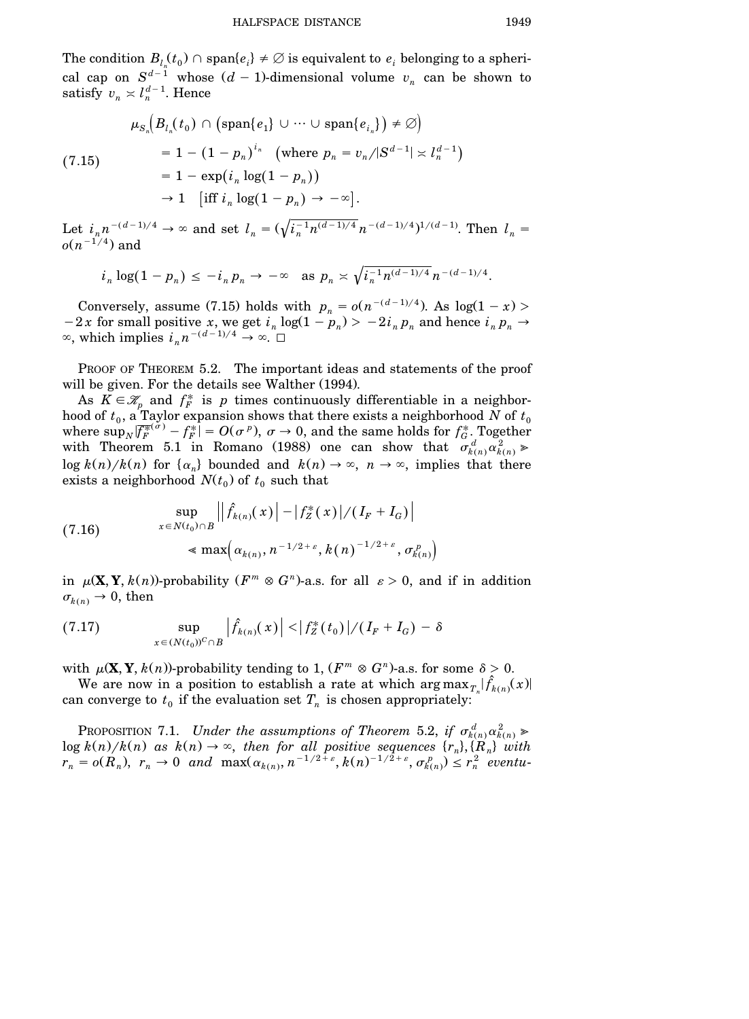The condition  $B_l(t_0) \cap \text{span}\{e_i\} \neq \emptyset$  is equivalent to  $e_i$  belonging to a spherical cap on  $S^{d-1}$  whose  $(d-1)$ -dimensional volume  $v_n$  can be shown to satisfy  $v_n \approx l_n^{d-1}$ . Hence

$$
\mu_{S_n}\left(B_{l_n}(t_0) \cap \left(\text{span}\{e_1\} \cup \dots \cup \text{span}\{e_{i_n}\}\right) \neq \varnothing\right)
$$
\n
$$
= 1 - (1 - p_n)^{i_n} \quad \text{(where } p_n = v_n/|S^{d-1}| \asymp l_n^{d-1})
$$
\n
$$
= 1 - \exp\left(i_n \log(1 - p_n)\right)
$$
\n
$$
\to 1 \quad \text{[iff } i_n \log(1 - p_n) \to -\infty].
$$

Let  $i_n n^{-(d-1)/4} \to \infty$  and set  $l_n = (\sqrt{i_n^{-1}n^{(d-1)/4}}n^{-(d-1)/4})^{1/(d-1)}$ . Then  $l_n =$  $o(n^{-1/4})$  and

$$
i_n \log(1 - p_n) \leq -i_n p_n \to -\infty
$$
 as  $p_n \approx \sqrt{i_n^{-1} n^{(d-1)/4}} n^{-(d-1)/4}$ .

Conversely, assume (7.15) holds with  $p_n = o(n^{-(d-1)/4})$ . As  $log(1 - x)$  $-2x$  for small positive *x*, we get  $i_n \log(1 - p_n) > -2i_n p_n$  and hence  $i_n p_n \to$  $\infty$ , which implies  $i_n n^{-(d-1)/4} \to \infty$ .

PROOF OF THEOREM 5.2. The important ideas and statements of the proof will be given. For the details see Walther (1994).

As  $K \in \mathcal{K}_p$  and  $f_F^*$  is p times continuously differentiable in a neighborhood of  $t_0$ , a Taylor expansion shows that there exists a neighborhood  $N$  of  $t_0$ where  $\sup_N |\overline{f_F^{*(\sigma)}} - f_F^{*}| = O(\sigma^p)$ ,  $\sigma \to 0$ , and the same holds for  $f_G^*$ . Together with Theorem 5.1 in Romano (1988) one can show that  $\sigma_{k(n)}^d \alpha_{k(n)}^2 \ge 0$ log  $k(n)/k(n)$  for  $\{\alpha_n\}$  bounded and  $k(n) \to \infty$ ,  $n \to \infty$ , implies that there exists a neighborhood  $N(t_0)$  of  $t_0$  such that

(7.16) 
$$
\sup_{x \in N(t_0) \cap B} \left| \left| \hat{f}_{k(n)}(x) \right| - \left| f_Z^*(x) \right| / (I_F + I_G) \right|
$$

$$
\leq \max \left( \alpha_{k(n)}, n^{-1/2 + \varepsilon}, k(n)^{-1/2 + \varepsilon}, \sigma_{k(n)}^p \right)
$$

in  $\mu(\mathbf{X}, \mathbf{Y}, k(n))$ -probability  $(F^m \otimes G^n)$ -a.s. for all  $\varepsilon > 0$ , and if in addition  $\sigma_{k(n)} \rightarrow 0$ , then

(7.17) 
$$
\sup_{x \in (N(t_0))^C \cap B} \left| \hat{f}_{k(n)}(x) \right| < |f_Z^*(t_0)| / (I_F + I_G) - \delta
$$

with  $\mu(\mathbf{X}, \mathbf{Y}, k(n))$ -probability tending to 1,  $(F^m \otimes G^n)$ -a.s. for some  $\delta > 0$ .

We are now in a position to establish a rate at which  $\arg\max_{T_n} |\hat{f}_{k(n)}(x)|$ can converge to  $t_0$  if the evaluation set  $T_n$  is chosen appropriately:

PROPOSITION 7.1. *Under the assumptions of Theorem 5.2, if*  $\sigma_{k(n)}^d \alpha_{k(n)}^2 \geq$  $\log k(n)/k(n)$  as  $k(n) \to \infty$ , then for all positive sequences  $\{r_n\}, \{R_n\}$  with  $r_n = o(R_n)$ ,  $r_n \to 0$  and  $\max(\alpha_{k(n)}, n^{-1/2+\varepsilon}, k(n)^{-1/2+\varepsilon}, \sigma_{k(n)}^p) \le r_n^2$  eventu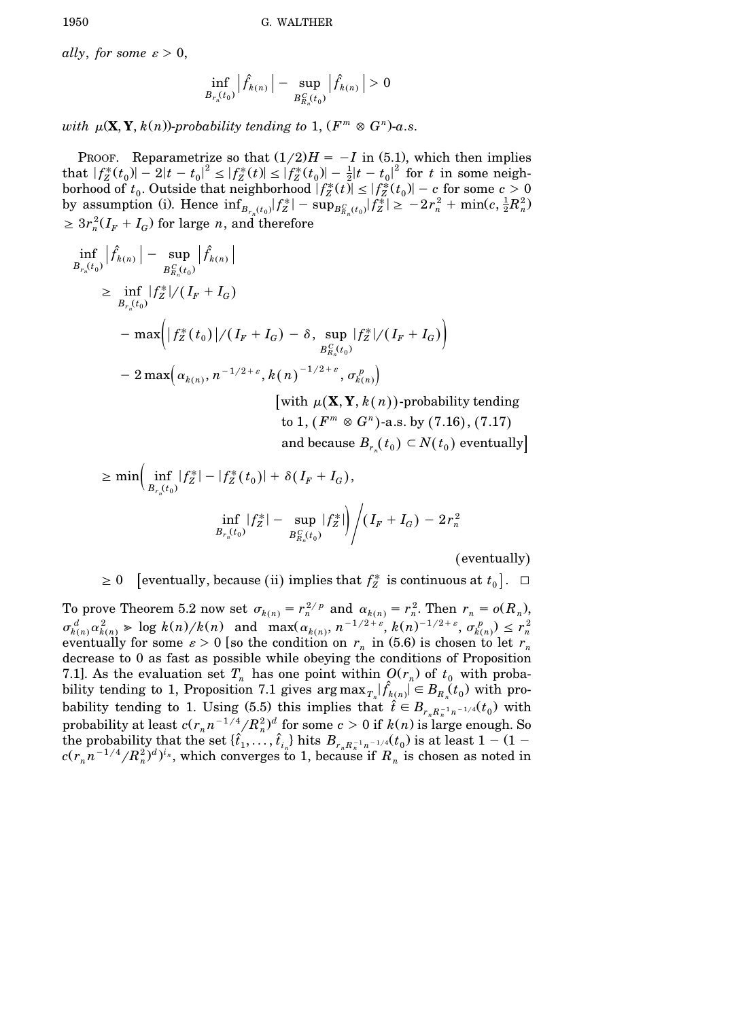*ally, for some*  $\varepsilon > 0$ ,

$$
\inf_{B_{r_n}(t_0)} \left| \hat{f}_{k(n)} \right| - \sup_{B_{R_n}^C(t_0)} \left| \hat{f}_{k(n)} \right| > 0
$$

*with*  $\mu(\mathbf{X}, \mathbf{Y}, k(n))$ -probability tending to 1,  $(F^m \otimes G^n)$ -a.s.

PROOF. Reparametrize so that  $(1/2)H = -I$  in (5.1), which then implies that  $|f_Z^*(t_0)| - 2|t - t_0|^2 \le |f_Z^*(t)| \le |f_Z^*(t_0)| - \frac{1}{2}|t - t_0|^2$  for *t* in some neigh- $\overline{\phantom{a}}$ borhood of  $t_0$ . Outside that neighborhood  $|f_Z^*(t)| \leq |f_Z^*(t_0)| - c$  for some  $c > 0$ by assumption (i). Hence  $\inf_{B_{r_n}(t_0)} |f_Z^*| - \sup_{B_{R_n}(t_0)} |f_Z^*| \ge -2r_n^2 + \min(c, \frac{1}{2}R_n^2)$  $\geq 3r_n^2(I_F + I_G)$  for large *n*, and therefore

$$
\inf_{B_{r_n}(t_0)} |\hat{f}_{k(n)}| - \sup_{B_{R_n}^C(t_0)} |\hat{f}_{k(n)}|
$$
\n
$$
\geq \inf_{B_{r_n}(t_0)} |f_Z^*| / (I_F + I_G)
$$
\n
$$
- \max \Biggl( |f_Z^*(t_0)| / (I_F + I_G) - \delta, \sup_{B_{R_n}^C(t_0)} |f_Z^*| / (I_F + I_G) \Biggr)
$$
\n
$$
- 2 \max \Biggl( \alpha_{k(n)}, n^{-1/2 + \varepsilon}, k(n)^{-1/2 + \varepsilon}, \sigma_{k(n)}^p \Biggr)
$$
\n
$$
\Biggl[ \text{with } \mu(\mathbf{X}, \mathbf{Y}, k(n)) \text{-probability tending to 1, } (F^m \otimes G^n) \text{-a.s. by (7.16), (7.17)} \text{and because } B_{r_n}(t_0) \subset N(t_0) \text{ eventually} \Biggr]
$$

$$
\geq \min \Biggl( \inf_{B_{r_n}(t_0)} |f_Z^*| - |f_Z^*(t_0)| + \delta(I_F + I_G),
$$
  

$$
\inf_{B_{r_n}(t_0)} |f_Z^*| - \sup_{B_{R_n}^C(t_0)} |f_Z^*| \Biggr) / (I_F + I_G) - 2r_n^2
$$

(eventually)

 $\geq 0$  [eventually, because (ii) implies that  $f_Z^*$  is continuous at  $t_0$ ].  $\Box$ 

To prove Theorem 5.2 now set  $\sigma_{k(n)} = r_n^{2/p}$  and  $\alpha_{k(n)} = r_n^2$ . Then  $r_n = o(R_n)$ ,<br>  $\sigma_{k(n)}^d \alpha_{k(n)}^2 \gg \log k(n)/k(n)$  and  $\max(\alpha_{k(n)}, n^{-1/2+\varepsilon}, k(n)^{-1/2+\varepsilon}, \sigma_{k(n)}^p) \le r_n^2$ eventually for some  $\varepsilon > 0$  [so the condition on  $r_n$  in (5.6) is chosen to let  $r_n$ decrease to 0 as fast as possible while obeying the conditions of Proposition 7.1]. As the evaluation set  $T_n$  has one point within  $O(r_n)$  of  $t_0$  with probability tending to 1, Proposition 7.1 gives  $\arg \max_{T_n} |\hat{f}_{k(n)}| \in B_{R_n}(t_0)$  with probability tending to 1. Using (5.5) this implies that  $\hat{t} \in B_{r_n R_n^{-1} n^{-1/4}}(t_0)$  with probability at least  $c(r_n n^{-1/4}/R_n^2)^d$  for some  $c > 0$  if  $k(n)$  is large enough. So the probability that the set  $\{\hat{t}_1, ..., \hat{t}_{i_n}\}$  hits  $B_{r_n R_n^{-1} n^{-1/4}}(t_0)$  is at least  $1 - (1$  $c(r_n n^{-1/4}/R_n^2)^d)^{i_n}$ , which converges to 1, because if  $R_n$  is chosen as noted in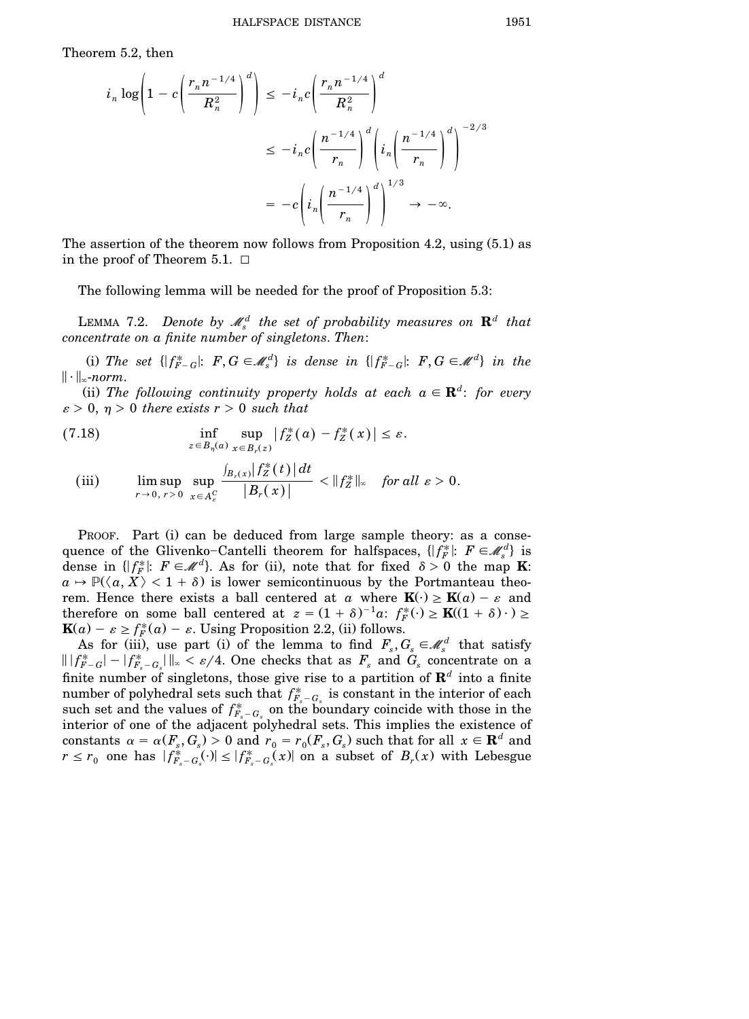Theorem 5.2, then

$$
i_n \log \left( 1 - c \left( \frac{r_n n^{-1/4}}{R_n^2} \right)^d \right) \leq -i_n c \left( \frac{r_n n^{-1/4}}{R_n^2} \right)^d
$$
  

$$
\leq -i_n c \left( \frac{n^{-1/4}}{r_n} \right)^d \left( i_n \left( \frac{n^{-1/4}}{r_n} \right)^d \right)^{-2/3}
$$
  

$$
= -c \left( i_n \left( \frac{n^{-1/4}}{r_n} \right)^d \right)^{1/3} \to -\infty.
$$

The assertion of the theorem now follows from Proposition 4.2, using  $(5.1)$  as in the proof of Theorem 5.1.  $\Box$ 

The following lemma will be needed for the proof of Proposition 5.3:

LEMMA 7.2. *Denote by*  $\mathscr{M}_{s}^{d}$  *the set of probability measures on*  $\mathbf{R}^{d}$  *that concentrate on a finite number of singletons*. *Then*:

(i) The set  $\{ |f_{F-G}^*|: F, G \in \mathcal{M}_s^d \}$  is dense in  $\{ |f_{F-G}^*|: F, G \in \mathcal{M}^d \}$  in the  $\|\cdot\|_{\infty}$ -norm.

(ii) The following continuity property holds at each  $a \in \mathbf{R}^d$ : for every  $\varepsilon > 0$ ,  $\eta > 0$  *there exists*  $r > 0$  *such that* 

(7.18) 
$$
\inf_{z \in B_{\eta}(a)} \sup_{x \in B_{r}(z)} |f_{Z}^{*}(a) - f_{Z}^{*}(x)| \leq \varepsilon.
$$

(iii) 
$$
\limsup_{r\to 0, r>0}\sup_{x\in A_c^C}\frac{\int_{B_r(x)}|f_Z^*(t)|dt}{|B_r(x)|}<||f_Z^*||_{\infty} \text{ for all } \varepsilon > 0.
$$

PROOF. Part (i) can be deduced from large sample theory: as a consequence of the Glivenko-Cantelli theorem for halfspaces,  $\{f_F^* : F \in \mathcal{M}_s^d\}$  is dense in  $\{ |f_F^*|: F \in \mathcal{M}^d \}$ . As for (ii), note that for fixed  $\delta > 0$  the map **K**:  $a \mapsto \mathbb{P}(\langle a, X \rangle < 1 + \delta)$  is lower semicontinuous by the Portmanteau theorem. Hence there exists a ball centered at *a* where  $\mathbf{K}(\cdot) \geq \mathbf{K}(a) - \varepsilon$  and therefore on some ball centered at  $z = (1 + \delta)^{-1}a$ :  $f_F^*(\cdot) \ge \mathbf{K}((1 + \delta) \cdot) \ge$  $\mathbf{K}(a) - \varepsilon \ge f_F^*(a) - \varepsilon$ . Using Proposition 2.2, (ii) follows.

As for (iii), use part (i) of the lemma to find  $F_s, G_s \in \mathcal{M}_s^d$  that satisfy  $\| |f^*_{F-G}| - |f^*_{F_s-G_s}| \|_{\infty} < \varepsilon/4$ . One checks that as  $F_s$  and  $G_s$  concentrate on a finite number of singletons, those give rise to a partition of  $\mathbf{R}^d$  into a finite number of polyhedral sets such that  $f_{F_s - G_s}^*$  is constant in the interior of each such set and the values of  $f_{F_s - G_s}^*$  on the boundary coincide with those in the interior of one of the adjacent polyhedral sets. This implies the existence of constants  $\alpha = \alpha(F_s, G_s) > 0$  and  $r_0 = r_0(F_s, G_s)$  such that for all  $x \in \mathbf{R}^d$  and |  $r \leq r_0$  one has  $|f_{F_s-G_s}^*(\cdot)| \leq |f_{F_s-G_s}^*(x)|$  on a subset of  $B_r(x)$  with Lebesgue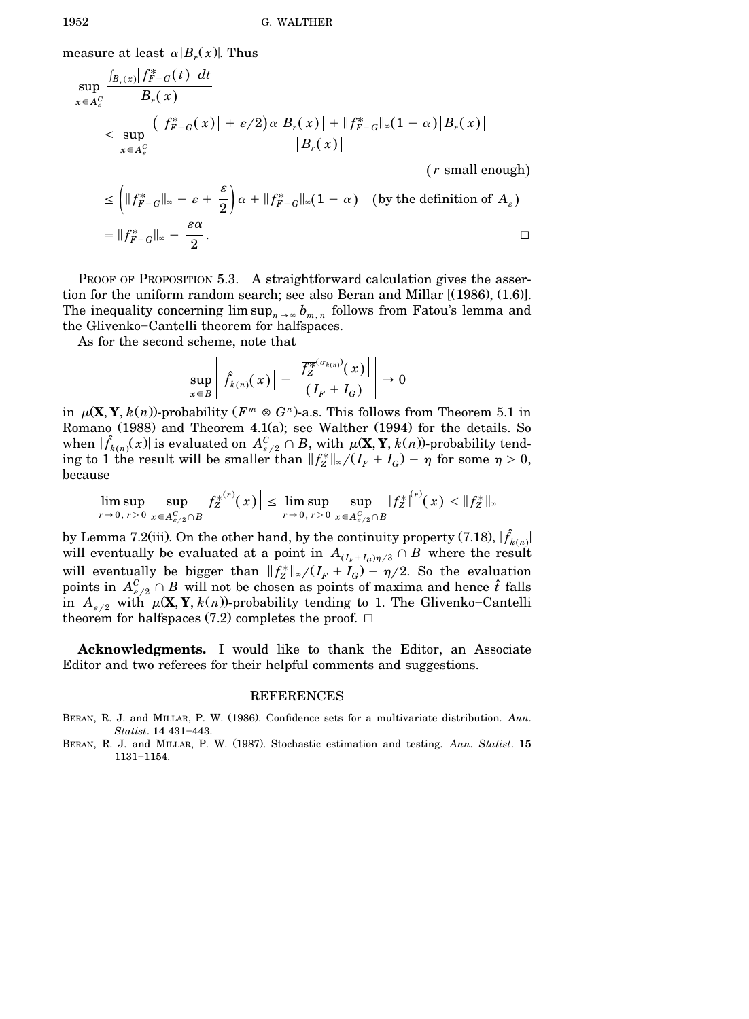measure at least  $\alpha |B_r(x)|$ . Thus

$$
\sup_{x \in A_c^C} \frac{\int_{B_r(x)} |f^*_{F-G}(t)| dt}{|B_r(x)|} \le \sup_{x \in A_c^C} \frac{(|f^*_{F-G}(x)| + \varepsilon/2) \alpha |B_r(x)| + ||f^*_{F-G}||_{\infty} (1 - \alpha) |B_r(x)|}{|B_r(x)|}
$$

(*r* small enough)

$$
\leq \left( \|f_{F-G}^*\|_{\infty} - \varepsilon + \frac{\varepsilon}{2} \right) \alpha + \|f_{F-G}^*\|_{\infty} (1 - \alpha) \quad \text{(by the definition of } A_{\varepsilon})
$$
\n
$$
= \|f_{F-G}^*\|_{\infty} - \frac{\varepsilon \alpha}{2}.
$$

PROOF OF PROPOSITION 5.3. A straightforward calculation gives the assertion for the uniform random search; see also Beran and Millar  $[(1986), (1.6)]$ . The inequality concerning  $\limsup_{n\to\infty} b_{m,n}$  follows from Fatou's lemma and the Glivenko-Cantelli theorem for halfspaces.

As for the second scheme, note that

$$
\sup_{x\in B}\left|\left|\hat{f}_{k(n)}(x)\right|-\frac{\left|\overline{f_{Z}^{\ast}}^{(x_{k(n)})}(x)\right|}{(I_{F}+I_{G})}\right|\to 0
$$

in  $\mu(\mathbf{X}, \mathbf{Y}, k(n))$ -probability  $(F^m \otimes G^n)$ -a.s. This follows from Theorem 5.1 in Romano (1988) and Theorem 4.1(a); see Walther (1994) for the details. So when  $|\hat{f}_{k(n)}(x)|$  is evaluated on  $A_{\varepsilon/2}^C \cap B$ , with  $\mu(\mathbf{X}, \mathbf{Y}, k(n))$ -probability tending to 1 the result will be smaller than  $||f_Z^*||_{\infty}/(I_F + I_G) - \eta$  for some  $\eta > 0$ , because

$$
\limsup_{r\to 0, r>0}\sup_{x\in A_{\varepsilon/2}^C\cap B}\left|\overline{f_Z^{*}}^{(r)}(x)\right|\leq \limsup_{r\to 0, r>0}\sup_{x\in A_{\varepsilon/2}^C\cap B}\left|\overline{f_Z^{*}}^{(r)}(x)\right|<\|f_Z^{*}\|_{\infty}
$$

by Lemma 7.2(iii). On the other hand, by the continuity property (7.18),  $|\hat{f}_{k(n)}|$ will eventually be evaluated at a point in  $A_{{(I_F+I_G)\eta/3}} \cap B$  where the result will eventually be bigger than  $||f_Z^*||_{\infty}/(I_F + I_G) - \eta/2$ . So the evaluation points in  $A_{\varepsilon/2}^C \cap B$  will not be chosen as points of maxima and hence  $\hat{t}$  falls in  $A_{\varepsilon/2}$  with  $\mu(\mathbf{X}, \mathbf{Y}, k(n))$ -probability tending to 1. The Glivenko-Cantelli theorem for halfspaces (7.2) completes the proof.  $\square$ 

**Acknowledgments.** I would like to thank the Editor, an Associate Editor and two referees for their helpful comments and suggestions.

#### REFERENCES

- BERAN, R. J. and MILLAR, P. W. (1986). Confidence sets for a multivariate distribution. *Ann*. *Statist*. **14** 431-443.
- BERAN, R. J. and MILLAR, P. W. (1987). Stochastic estimation and testing. *Ann. Statist*. 15 1131-1154.